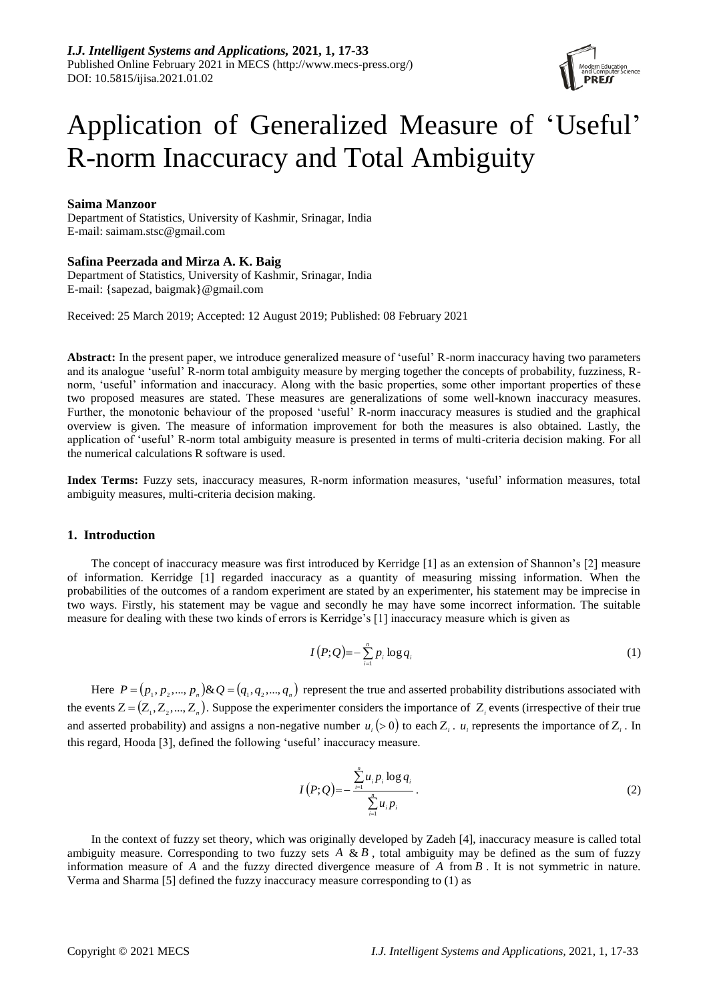

# Application of Generalized Measure of 'Useful' R-norm Inaccuracy and Total Ambiguity

## **Saima Manzoor**

Department of Statistics, University of Kashmir, Srinagar, India E-mail: saimam.stsc@gmail.com

# **Safina Peerzada and Mirza A. K. Baig**

Department of Statistics, University of Kashmir, Srinagar, India E-mail: {sapezad, baigmak}@gmail.com

Received: 25 March 2019; Accepted: 12 August 2019; Published: 08 February 2021

**Abstract:** In the present paper, we introduce generalized measure of 'useful' R-norm inaccuracy having two parameters and its analogue 'useful' R-norm total ambiguity measure by merging together the concepts of probability, fuzziness, Rnorm, 'useful' information and inaccuracy. Along with the basic properties, some other important properties of these two proposed measures are stated. These measures are generalizations of some well-known inaccuracy measures. Further, the monotonic behaviour of the proposed 'useful' R-norm inaccuracy measures is studied and the graphical overview is given. The measure of information improvement for both the measures is also obtained. Lastly, the application of 'useful' R-norm total ambiguity measure is presented in terms of multi-criteria decision making. For all the numerical calculations R software is used.

**Index Terms:** Fuzzy sets, inaccuracy measures, R-norm information measures, 'useful' information measures, total ambiguity measures, multi-criteria decision making.

### **1. Introduction**

The concept of inaccuracy measure was first introduced by Kerridge [1] as an extension of Shannon's [2] measure of information. Kerridge [1] regarded inaccuracy as a quantity of measuring missing information. When the probabilities of the outcomes of a random experiment are stated by an experimenter, his statement may be imprecise in two ways. Firstly, his statement may be vague and secondly he may have some incorrect information. The suitable measure for dealing with these two kinds of errors is Kerridge's [1] inaccuracy measure which is given as

$$
I(P;Q) = -\sum_{i=1}^{n} p_i \log q_i \tag{1}
$$

Here  $P = (p_1, p_2, ..., p_n)$ &  $Q = (q_1, q_2, ..., q_n)$  represent the true and asserted probability distributions associated with the events  $Z = (Z_1, Z_2, ..., Z_n)$ . Suppose the experimenter considers the importance of  $Z_i$  events (irrespective of their true and asserted probability) and assigns a non-negative number  $u_i$  (> 0) to each  $Z_i$ .  $u_i$  represents the importance of  $Z_i$ . In this regard, Hooda [3], defined the following 'useful' inaccuracy measure.

$$
I(P;Q) = -\frac{\sum_{i=1}^{n} u_i p_i \log q_i}{\sum_{i=1}^{n} u_i p_i}.
$$
 (2)

In the context of fuzzy set theory, which was originally developed by Zadeh [4], inaccuracy measure is called total ambiguity measure. Corresponding to two fuzzy sets  $A \& B$ , total ambiguity may be defined as the sum of fuzzy information measure of  $A$  and the fuzzy directed divergence measure of  $A$  from  $B$ . It is not symmetric in nature. Verma and Sharma [5] defined the fuzzy inaccuracy measure corresponding to (1) as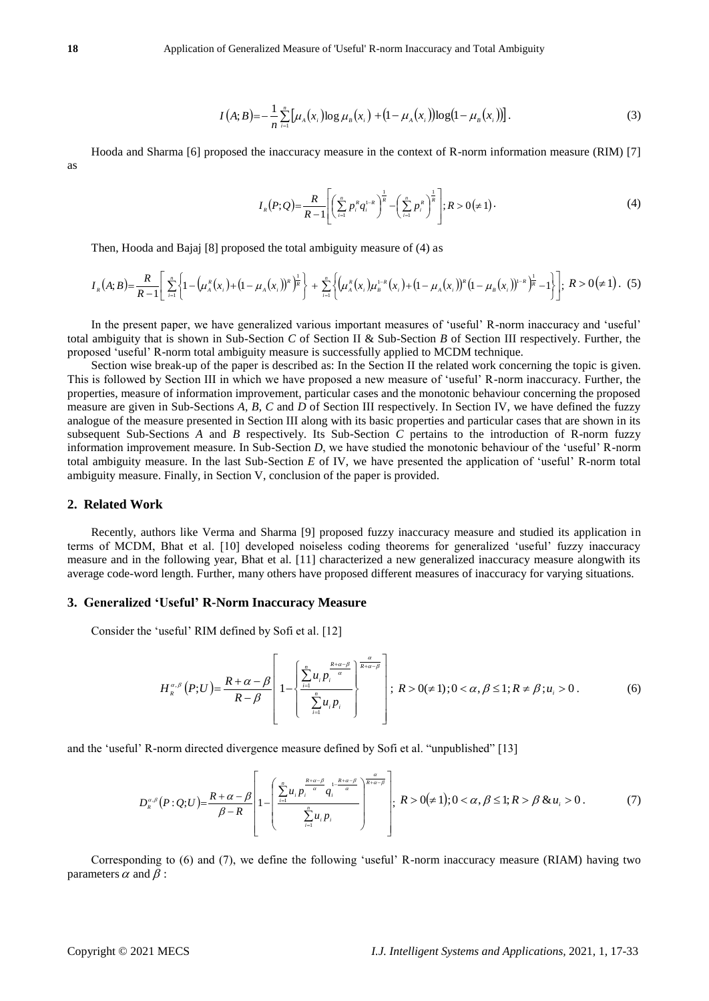$$
I(A;B) = -\frac{1}{n} \sum_{i=1}^{n} \left[ \mu_{A}(x_{i}) \log \mu_{B}(x_{i}) + (1 - \mu_{A}(x_{i})) \log(1 - \mu_{B}(x_{i})) \right].
$$
 (3)

Hooda and Sharma [6] proposed the inaccuracy measure in the context of R-norm information measure (RIM) [7] as

$$
I_{R}(P;Q) = \frac{R}{R-1} \left[ \left( \sum_{i=1}^{n} p_{i}^{R} q_{i}^{1-R} \right)^{\frac{1}{R}} - \left( \sum_{i=1}^{n} p_{i}^{R} \right)^{\frac{1}{R}} \right]; R > 0 \left( \neq 1 \right).
$$
 (4)

Then, Hooda and Bajaj [8] proposed the total ambiguity measure of (4) as

$$
I_{R}(A;B)=\frac{R}{R-1}\left[\sum_{i=1}^{n}\left\{1-\left(\mu_{A}^{R}(x_{i})+\left(1-\mu_{A}(x_{i})\right)^{R}\right)^{\frac{1}{R}}\right\}+\sum_{i=1}^{n}\left\{\left(\mu_{A}^{R}(x_{i})\mu_{B}^{1-R}(x_{i})+\left(1-\mu_{A}(x_{i})\right)^{R}\left(1-\mu_{B}(x_{i})\right)^{1-R}\right)^{\frac{1}{R}}-1\right\}\right]; R>0(\neq 1).
$$
(5)

In the present paper, we have generalized various important measures of 'useful' R-norm inaccuracy and 'useful' total ambiguity that is shown in Sub-Section *C* of Section II & Sub-Section *B* of Section III respectively. Further, the proposed 'useful' R-norm total ambiguity measure is successfully applied to MCDM technique.

 $\int (k_1k_1)^2 = \frac{k_1}{k_1} \sum_{k=1}^{\infty} [k_1(k_1)^2 \log_k(k_1 + k_1)^2 + \frac{k_1}{k_1} \sum_{k=1}^{\infty} [k_1k_1(k_1) + k_2k_2(k_1 + k_2)]$ <br>
Note that the transition and Sharma (6) payposed the interactions presence in the content of R summ information m Section wise break-up of the paper is described as: In the Section II the related work concerning the topic is given. This is followed by Section III in which we have proposed a new measure of 'useful' R-norm inaccuracy. Further, the properties, measure of information improvement, particular cases and the monotonic behaviour concerning the proposed measure are given in Sub-Sections *A*, *B*, *C* and *D* of Section III respectively. In Section IV, we have defined the fuzzy analogue of the measure presented in Section III along with its basic properties and particular cases that are shown in its subsequent Sub-Sections *A* and *B* respectively. Its Sub-Section *C* pertains to the introduction of R-norm fuzzy information improvement measure. In Sub-Section *D*, we have studied the monotonic behaviour of the 'useful' R-norm total ambiguity measure. In the last Sub-Section *E* of IV, we have presented the application of 'useful' R-norm total ambiguity measure. Finally, in Section V, conclusion of the paper is provided.

#### **2. Related Work**

Recently, authors like Verma and Sharma [9] proposed fuzzy inaccuracy measure and studied its application in terms of MCDM, Bhat et al. [10] developed noiseless coding theorems for generalized 'useful' fuzzy inaccuracy measure and in the following year, Bhat et al. [11] characterized a new generalized inaccuracy measure alongwith its average code-word length. Further, many others have proposed different measures of inaccuracy for varying situations.

#### **3. Generalized 'Useful' R-Norm Inaccuracy Measure**

Consider the 'useful' RIM defined by Sofi et al. [12]

$$
H_{R}^{\alpha,\beta}(P;U)=\frac{R+\alpha-\beta}{R-\beta}\left[1-\left\{\frac{\sum\limits_{i=1}^{n}u_{i}p_{i}^{\frac{R+\alpha-\beta}{\alpha}}}{\sum\limits_{i=1}^{n}u_{i}p_{i}}\right\};\ R>0(\neq 1);0<\alpha,\beta\leq 1; R\neq\beta; u_{i}>0. \tag{6}
$$

and the 'useful' R-norm directed divergence measure defined by Sofi et al. "unpublished" [13]

$$
D_{R}^{\alpha,\beta}(P:Q;U) = \frac{R+\alpha-\beta}{\beta-R} \left[1 - \left(\frac{\sum_{i=1}^{n} u_{i} p_{i}^{\frac{R+\alpha-\beta}{\alpha}} q_{i}^{1-\frac{R+\alpha-\beta}{\alpha}}}{\sum_{i=1}^{n} u_{i} p_{i}}\right)^{\frac{\alpha}{R+\alpha-\beta}}\right]; R > 0 \neq 1; 0 < \alpha, \beta \leq 1; R > \beta \& u_{i} > 0. \tag{7}
$$

Corresponding to (6) and (7), we define the following 'useful' R-norm inaccuracy measure (RIAM) having two parameters  $\alpha$  and  $\beta$ :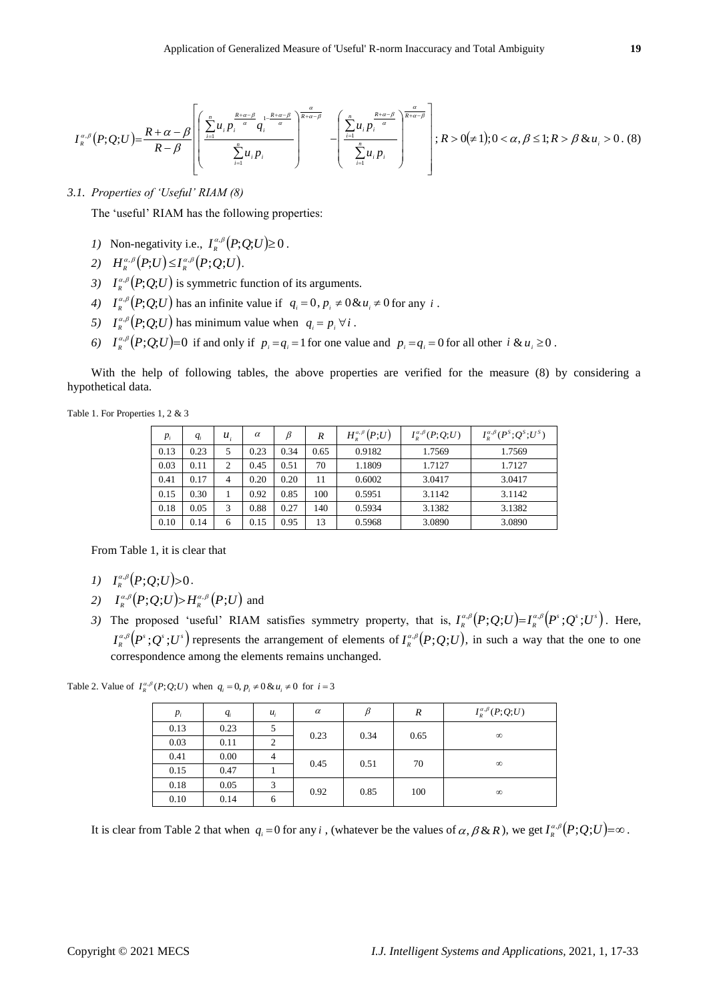$$
I_{\kappa}^{\alpha,\beta}(P;Q;U) = \frac{R+\alpha-\beta}{R-\beta} \left[ \left( \frac{\sum_{i=1}^{n} u_i p_i^{\frac{R+\alpha-\beta}{\alpha}} q_i^{1-\frac{R+\alpha-\beta}{\alpha}}}{\sum_{i=1}^{n} u_i p_i} - \left( \frac{\sum_{i=1}^{n} u_i p_i^{\frac{R+\alpha-\beta}{\alpha}}}{\sum_{i=1}^{n} u_i p_i} \right)^{\frac{\alpha}{R+\alpha-\beta}} \right]; R > 0 \neq 1; 0 < \alpha, \beta \leq 1; R > \beta \& u_i > 0. \tag{8}
$$

# *3.1. Properties of 'Useful' RIAM (8)*

- *1*) Non-negativity i.e.,  $I_R^{\alpha,\beta}(P;Q;U) \ge 0$ .
- 2)  $H_{R}^{\alpha,\beta}(P;U) \leq I_{R}^{\alpha,\beta}(P;Q;U).$
- 3)  $I_{R}^{\alpha,\beta}(P;Q;U)$  is symmetric function of its arguments.
- 4)  $I_{R}^{\alpha,\beta}(P;Q;U)$  has an infinite value if  $q_i = 0, p_i \neq 0 \& u_i \neq 0$  for any *i*.
- 5)  $I_{R}^{\alpha,\beta}(P;Q;U)$  has minimum value when  $q_i = p_i \,\forall i$ .
- 6)  $I_R^{\alpha,\beta}(P;Q;U)=0$  if and only if  $p_i = q_i = 1$  for one value and  $p_i = q_i = 0$  for all other  $i \& u_i \ge 0$ .

Table 1. For Properties 1, 2 & 3

| $p_i$ | $q_i$ | $u_i$          | $\alpha$ | B    | R    | $H_{\scriptscriptstyle R}^{\scriptscriptstyle \alpha,\beta}\left(P;U\right)$ | $I_{p}^{\alpha,\beta}(P;Q;U)$ | $I_{R}^{\alpha,\beta}(P^{S};Q^{S};U^{S})$ |
|-------|-------|----------------|----------|------|------|------------------------------------------------------------------------------|-------------------------------|-------------------------------------------|
| 0.13  | 0.23  | 5              | 0.23     | 0.34 | 0.65 | 0.9182                                                                       | 1.7569                        | 1.7569                                    |
| 0.03  | 0.11  | $\overline{2}$ | 0.45     | 0.51 | 70   | 1.1809                                                                       | 1.7127                        | 1.7127                                    |
| 0.41  | 0.17  | 4              | 0.20     | 0.20 | 11   | 0.6002                                                                       | 3.0417                        | 3.0417                                    |
| 0.15  | 0.30  |                | 0.92     | 0.85 | 100  | 0.5951                                                                       | 3.1142                        | 3.1142                                    |
| 0.18  | 0.05  | 3              | 0.88     | 0.27 | 140  | 0.5934                                                                       | 3.1382                        | 3.1382                                    |
| 0.10  | 0.14  | 6              | 0.15     | 0.95 | 13   | 0.5968                                                                       | 3.0890                        | 3.0890                                    |

- *1*)  $I_R^{\alpha,\beta}(P;Q;U) > 0$ .
- 2)  $I_{\kappa}^{\alpha,\beta}(P;Q;U) \rightarrow H_{\kappa}^{\alpha,\beta}(P;U)$  and
- 3) The proposed 'useful' RIAM satisfies symmetry property, that is,  $I_R^{\alpha,\beta}(P;Q;U)=I_R^{\alpha,\beta}(P^s;Q^s;U^s)$ . Here,  $I_{R}^{\alpha,\beta}(P^s;Q^s;U^s)$  represents the arrangement of elements of  $I_{R}^{\alpha,\beta}(P;Q;U)$ , in such a way that the one to one correspondence among the elements remains unchanged.

Table 2. Value of  $I_R^{\alpha,\beta}(P;Q;U)$  when  $q_i = 0, p_i \neq 0$  &  $u_i \neq 0$  for  $i = 3$ 

|                                                                                                                                   |              |              |              |              |              |           |                                                                                                              |                             | $I_{R}^{\alpha,\beta}(P;Q;U)=\frac{R+\alpha-\beta}{R-\beta}\left[\frac{1}{2}\frac{1}{2}u_{i}P_{i}\right]$ $-\left[\frac{1}{2}\frac{1}{2}u_{i}P_{i}\right]$ $\left[\frac{1}{2}R>0(\neq 1);0<\alpha,\beta\leq 1;R>\beta\&u_{i}>0.$                                                                 |  |
|-----------------------------------------------------------------------------------------------------------------------------------|--------------|--------------|--------------|--------------|--------------|-----------|--------------------------------------------------------------------------------------------------------------|-----------------------------|--------------------------------------------------------------------------------------------------------------------------------------------------------------------------------------------------------------------------------------------------------------------------------------------------|--|
| 3.1. Properties of 'Useful' RIAM (8)                                                                                              |              |              |              |              |              |           |                                                                                                              |                             |                                                                                                                                                                                                                                                                                                  |  |
| The 'useful' RIAM has the following properties:                                                                                   |              |              |              |              |              |           |                                                                                                              |                             |                                                                                                                                                                                                                                                                                                  |  |
|                                                                                                                                   |              |              |              |              |              |           |                                                                                                              |                             |                                                                                                                                                                                                                                                                                                  |  |
| 1) Non-negativity i.e., $I_{R}^{\alpha,\beta}(P;Q;U) \ge 0$ .                                                                     |              |              |              |              |              |           |                                                                                                              |                             |                                                                                                                                                                                                                                                                                                  |  |
| 2) $H_{\kappa}^{\alpha,\beta}(P;U) \leq I_{\kappa}^{\alpha,\beta}(P;Q;U)$ .                                                       |              |              |              |              |              |           |                                                                                                              |                             |                                                                                                                                                                                                                                                                                                  |  |
| 3) $I_{R}^{\alpha,\beta}(P;Q;U)$ is symmetric function of its arguments.                                                          |              |              |              |              |              |           |                                                                                                              |                             |                                                                                                                                                                                                                                                                                                  |  |
|                                                                                                                                   |              |              |              |              |              |           | 4) $I_{R}^{\alpha,\beta}(P;Q;U)$ has an infinite value if $q_i = 0$ , $p_i \neq 0$ & $u_i \neq 0$ for any i. |                             |                                                                                                                                                                                                                                                                                                  |  |
| 5) $I_{R}^{\alpha,\beta}(P;Q;U)$ has minimum value when $q_i = p_i \,\forall i$ .                                                 |              |              |              |              |              |           |                                                                                                              |                             |                                                                                                                                                                                                                                                                                                  |  |
|                                                                                                                                   |              |              |              |              |              |           |                                                                                                              |                             | 6) $I_{R}^{\alpha,\beta}(P;Q;U)=0$ if and only if $p_i = q_i = 1$ for one value and $p_i = q_i = 0$ for all other $i \& u_i \ge 0$ .                                                                                                                                                             |  |
| hypothetical data.                                                                                                                |              |              |              |              |              |           |                                                                                                              |                             | With the help of following tables, the above properties are verified for the measure (8) by considering a                                                                                                                                                                                        |  |
| Table 1. For Properties 1, 2 & 3                                                                                                  |              |              |              |              |              |           |                                                                                                              |                             |                                                                                                                                                                                                                                                                                                  |  |
|                                                                                                                                   | $P_i$        | $q_i$        | $u_i$        | $\alpha$     | β            | R         | $H_{R}^{\alpha,\beta}(P;U)$                                                                                  | $I^{\alpha,\beta}_R(P;Q;U)$ | $I^{\alpha,\beta}_R(P^S;Q^S;U^S)$                                                                                                                                                                                                                                                                |  |
|                                                                                                                                   | 0.13         | 0.23         | 5            | 0.23         | 0.34         | 0.65      | 0.9182                                                                                                       | 1.7569                      | 1.7569                                                                                                                                                                                                                                                                                           |  |
|                                                                                                                                   | 0.03         | 0.11         | 2            | 0.45         | 0.51         | 70        | 1.1809                                                                                                       | 1.7127                      | 1.7127                                                                                                                                                                                                                                                                                           |  |
|                                                                                                                                   | 0.41<br>0.15 | 0.17<br>0.30 | 4<br>1       | 0.20<br>0.92 | 0.20<br>0.85 | 11<br>100 | 0.6002<br>0.5951                                                                                             | 3.0417<br>3.1142            | 3.0417<br>3.1142                                                                                                                                                                                                                                                                                 |  |
|                                                                                                                                   | 0.18         | 0.05         | 3            | 0.88         | 0.27         | 140       | 0.5934                                                                                                       | 3.1382                      | 3.1382                                                                                                                                                                                                                                                                                           |  |
|                                                                                                                                   | 0.10         | 0.14         | 6            | 0.15         | 0.95         | 13        | 0.5968                                                                                                       | 3.0890                      | 3.0890                                                                                                                                                                                                                                                                                           |  |
| 1) $I_{\scriptscriptstyle R}^{\alpha,\beta}(P;Q;U) > 0$ .<br>2) $I_{\nu}^{\alpha,\beta}(P;Q;U) > H_{\nu}^{\alpha,\beta}(P;U)$ and |              |              |              |              |              |           | correspondence among the elements remains unchanged.                                                         |                             | The proposed 'useful' RIAM satisfies symmetry property, that is, $I_{R}^{\alpha,\beta}(P;Q;U)=I_{R}^{\alpha,\beta}(P^{s};Q^{s};U^{s})$ . Here<br>$I_{R}^{\alpha,\beta}(P^s;Q^s;U^s)$ represents the arrangement of elements of $I_{R}^{\alpha,\beta}(P;Q;U)$ , in such a way that the one to one |  |
| Table 2. Value of $I_R^{\alpha,\beta}(P;Q;U)$ when $q_i = 0, p_i \neq 0$ & $u_i \neq 0$ for $i = 3$                               |              |              |              |              |              |           |                                                                                                              |                             |                                                                                                                                                                                                                                                                                                  |  |
|                                                                                                                                   | $p_i$        |              | $q_i$        | $u_i$        |              | $\alpha$  | $\beta$                                                                                                      | R                           | $I^{\alpha,\beta}_\kappa(P;Q;U)$                                                                                                                                                                                                                                                                 |  |
|                                                                                                                                   | 0.13<br>0.03 |              | 0.23<br>0.11 | 5            | 2            | 0.23      | 0.34                                                                                                         | 0.65                        | $\infty$                                                                                                                                                                                                                                                                                         |  |
|                                                                                                                                   | 0.41         |              | 0.00         | 4            |              |           |                                                                                                              |                             |                                                                                                                                                                                                                                                                                                  |  |
|                                                                                                                                   | 0.15         |              | 0.47         | 1            |              | 0.45      | 0.51                                                                                                         | 70                          | $\infty$                                                                                                                                                                                                                                                                                         |  |
|                                                                                                                                   | 0.18         |              | 0.05         |              | 3            | 0.92      | 0.85                                                                                                         | 100                         | $\infty$                                                                                                                                                                                                                                                                                         |  |
|                                                                                                                                   | 0.10         |              | 0.14         | 6            |              |           |                                                                                                              |                             |                                                                                                                                                                                                                                                                                                  |  |
|                                                                                                                                   |              |              |              |              |              |           |                                                                                                              |                             | It is clear from Table 2 that when $q_i = 0$ for any i, (whatever be the values of $\alpha, \beta \& R$ ), we get $I^{\alpha, \beta}_{R}(P; Q; U) = \infty$ .                                                                                                                                    |  |
| Copyright © 2021 MECS                                                                                                             |              |              |              |              |              |           |                                                                                                              |                             | I.J. Intelligent Systems and Applications, 2021, 1, 17-33                                                                                                                                                                                                                                        |  |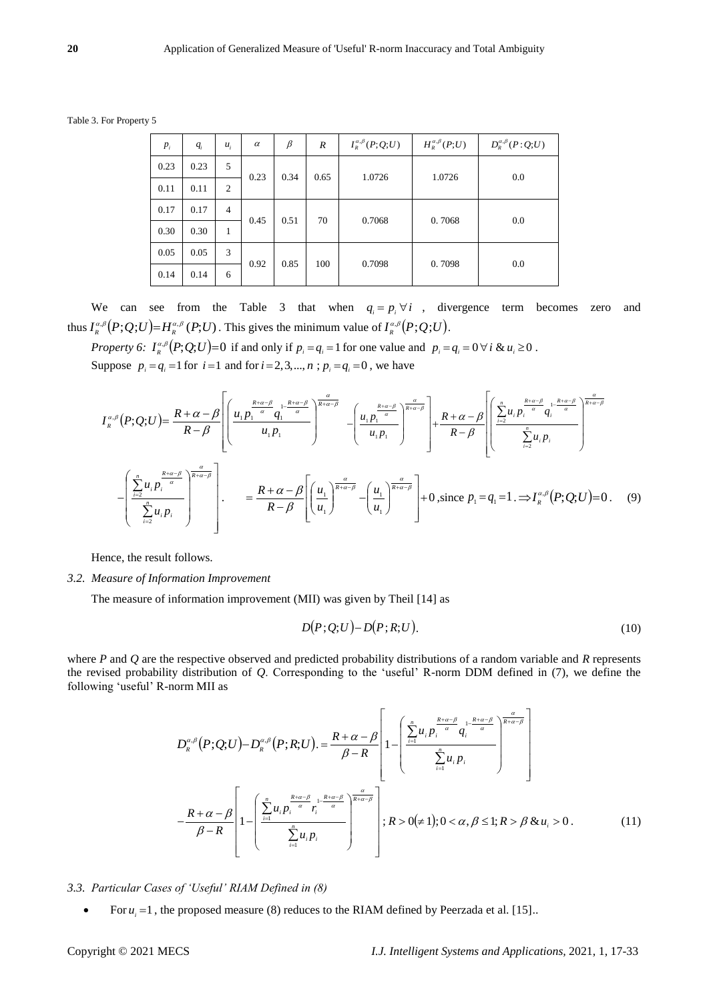Table 3. For Property 5

| $P_i$ | $q_i$ | $u_i$          | $\alpha$ | $\beta$ | $\boldsymbol{R}$ | $I^{\alpha,\beta}_R(P;Q;U)$ | $H^{\alpha,\beta}_R(P;U)$ | $D_{R}^{\alpha,\beta}(P:Q;U)$ |
|-------|-------|----------------|----------|---------|------------------|-----------------------------|---------------------------|-------------------------------|
| 0.23  | 0.23  | 5              | 0.23     | 0.34    | 0.65             | 1.0726                      | 1.0726                    | 0.0                           |
| 0.11  | 0.11  | $\overline{2}$ |          |         |                  |                             |                           |                               |
| 0.17  | 0.17  | $\overline{4}$ | 0.45     | 0.51    | 70               | 0.7068                      | 0.7068                    | 0.0                           |
| 0.30  | 0.30  | $\mathbf{1}$   |          |         |                  |                             |                           |                               |
| 0.05  | 0.05  | 3              | 0.92     | 0.85    | 100              | 0.7098                      | 0.7098                    | 0.0                           |
| 0.14  | 0.14  | 6              |          |         |                  |                             |                           |                               |

We can see from the Table 3 that when  $q_i = p_i \forall i$ , divergence term becomes zero and thus  $I_{R}^{\alpha,\beta}(P;Q;U) = H_{R}^{\alpha,\beta}(P;U)$ . This gives the minimum value of  $I_{R}^{\alpha,\beta}(P;Q;U)$ .

*Property 6:*  $I_{R}^{\alpha,\beta}(P;Q;U)=0$  if and only if  $p_i = q_i = 1$  for one value and  $p_i = q_i = 0 \forall i \& u_i \ge 0$ . Suppose  $p_i = q_i = 1$  for  $i = 1$  and for  $i = 2, 3, ..., n$ ;  $p_i = q_i = 0$ , we have

$$
I_{R}^{\alpha,\beta}(P;Q;U) = \frac{R+\alpha-\beta}{R-\beta} \left[ \left( \frac{u_{1}p_{1}^{\frac{R+\alpha-\beta}{\alpha}} u_{1}^{1-\frac{R+\alpha-\beta}{\alpha}}}{u_{1}p_{1}} \right)^{\frac{\alpha}{R+\alpha-\beta}} - \left( \frac{u_{1}p_{1}^{\frac{R+\alpha-\beta}{\alpha}}}{u_{1}p_{1}} \right)^{\frac{\alpha}{R+\alpha-\beta}} + \frac{R+\alpha-\beta}{R-\beta} \left[ \left( \frac{\sum_{i=2}^{n} u_{i}p_{i}^{\frac{R+\alpha-\beta}{\alpha}} u_{i}^{1-\frac{R+\alpha-\beta}{\alpha}}}{\sum_{i=2}^{n} u_{i}p_{i}} \right)^{\frac{\alpha}{R+\alpha-\beta}} - \left( \frac{u_{1}p_{1}^{\frac{R+\alpha-\beta}{\alpha}}}{u_{1}p_{1}} \right)^{\frac{\alpha}{R+\alpha-\beta}} - \left( \frac{u_{1}p_{1}^{\frac{R+\alpha-\beta}{\alpha}}}{u_{1}p_{1}} \right)^{\frac{\alpha}{R+\alpha-\beta}} + 0, \text{ since } p_{1} = q_{1} = 1 \Rightarrow I_{R}^{\alpha,\beta}(P;Q;U) = 0. \quad (9)
$$

Hence, the result follows.

# *3.2. Measure of Information Improvement*

The measure of information improvement (MII) was given by Theil [14] as

$$
D(P;Q;U) - D(P;R;U). \tag{10}
$$

where *P* and *Q* are the respective observed and predicted probability distributions of a random variable and *R* represents the revised probability distribution of *Q*. Corresponding to the 'useful' R-norm DDM defined in (7), we define the following 'useful' R-norm MII as

$$
D_{R}^{\alpha,\beta}(P;Q;U) - D_{R}^{\alpha,\beta}(P;R;U) = \frac{R+\alpha-\beta}{\beta-R} \left[ 1 - \left( \frac{\sum_{i=1}^{n} u_{i} p_{i}^{\frac{R+\alpha-\beta}{\alpha}} q_{i}^{\frac{1-R+\alpha-\beta}{\alpha}}}{\sum_{i=1}^{n} u_{i} p_{i}} \right)^{\frac{n}{R+\alpha-\beta}} \right]
$$

$$
-\frac{R+\alpha-\beta}{\beta-R} \left[ 1 - \left( \frac{\sum_{i=1}^{n} u_{i} p_{i}^{\frac{R+\alpha-\beta}{\alpha}} r_{i}^{\frac{1-R+\alpha-\beta}{\alpha}}}{\sum_{i=1}^{n} u_{i} p_{i}} \right)^{\frac{\alpha}{R+\alpha-\beta}} \right]; R > 0 \neq 1; 0 < \alpha, \beta \leq 1; R > \beta \& u_{i} > 0. \tag{11}
$$

- *3.3. Particular Cases of 'Useful' RIAM Defined in (8)*
	- For  $u_i = 1$ , the proposed measure (8) reduces to the RIAM defined by Peerzada et al. [15].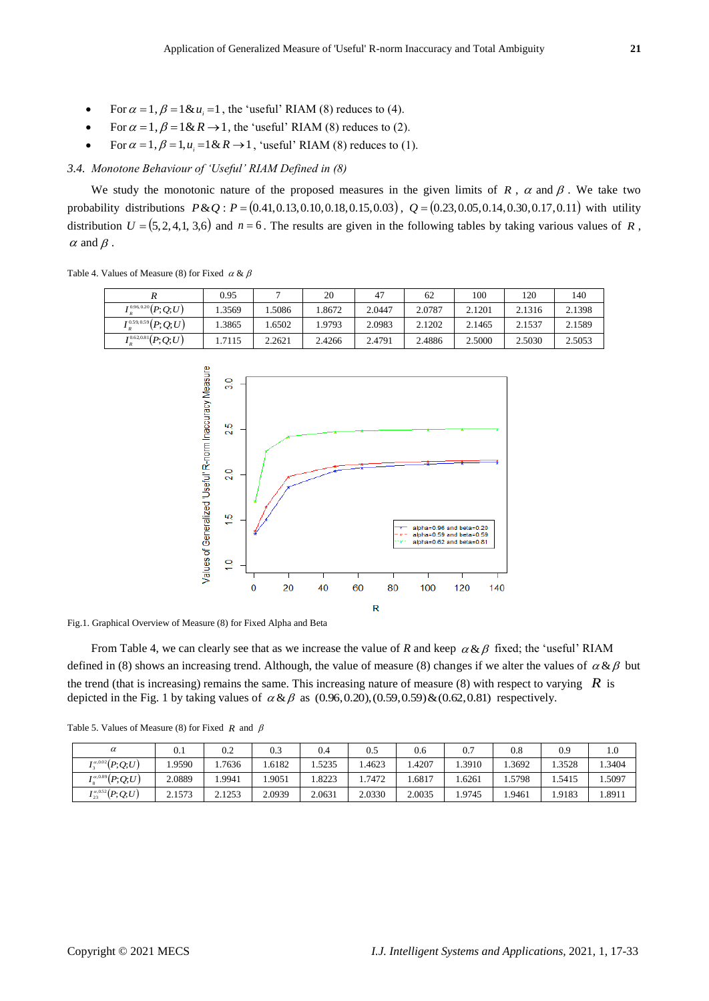- For  $\alpha = 1$ ,  $\beta = 1 \& u_i = 1$ , the 'useful' RIAM (8) reduces to (4).
- For  $\alpha = 1$ ,  $\beta = 1 \& R \rightarrow 1$ , the 'useful' RIAM (8) reduces to (2).
- For  $\alpha = 1$ ,  $\beta = 1$ ,  $u_i = 1$  &  $R \rightarrow 1$ , 'useful' RIAM (8) reduces to (1).

#### *3.4. Monotone Behaviour of 'Useful' RIAM Defined in (8)*

We study the monotonic nature of the proposed measures in the given limits of  $R$ ,  $\alpha$  and  $\beta$ . We take two probability distributions  $P \& Q$ :  $P = (0.41, 0.13, 0.10, 0.18, 0.15, 0.03)$ ,  $Q = (0.23, 0.05, 0.14, 0.30, 0.17, 0.11)$  with utility distribution  $U = (5, 2, 4, 1, 3, 6)$  and  $n = 6$ . The results are given in the following tables by taking various values of R,  $\alpha$  and  $\beta$ .

Table 4. Values of Measure (8) for Fixed  $\alpha \& \beta$ 

|                                                                      | 0.95   |        | 20     | 47     | 62     | 100    | 120    | 140    |
|----------------------------------------------------------------------|--------|--------|--------|--------|--------|--------|--------|--------|
| $I^{0.96,0.20}_\nu(P;Q;U)$                                           | .3569  | .5086  | .8672  | 2.0447 | 2.0787 | 2.1201 | 2.1316 | 2.1398 |
| $I^{\scriptscriptstyle{0.59,0.59}}_{{\scriptscriptstyle{R}}}(P;Q;U)$ | .3865  | .6502  | .9793  | 2.0983 | 2.1202 | 2.1465 | 2.1537 | 2.1589 |
| $I^{0.62,0.81}_{_R}\!(P;Q;U)$                                        | 1.7115 | 2.2621 | 2.4266 | 2.4791 | 2.4886 | 2.5000 | 2.5030 | 2.5053 |





From Table 4, we can clearly see that as we increase the value of *R* and keep  $\alpha \& \beta$  fixed; the 'useful' RIAM defined in (8) shows an increasing trend. Although, the value of measure (8) changes if we alter the values of  $\alpha \& \beta$  but the trend (that is increasing) remains the same. This increasing nature of measure  $(8)$  with respect to varying  $\vec{R}$  is depicted in the Fig. 1 by taking values of  $\alpha \& \beta$  as (0.96,0.20),(0.59,0.59)  $\& (0.62, 0.81)$  respectively.

|  |  | Table 5. Values of Measure (8) for Fixed R and $\beta$ |  |  |  |  |  |  |
|--|--|--------------------------------------------------------|--|--|--|--|--|--|
|--|--|--------------------------------------------------------|--|--|--|--|--|--|

| $\alpha$                                                                                 | 0.1    | $_{0.2}$ | 0.3    | 0.4    | 0.5    | 0.6    | 0.7   | 0.8   | 0.9   | $_{1.0}$ |
|------------------------------------------------------------------------------------------|--------|----------|--------|--------|--------|--------|-------|-------|-------|----------|
| $I_3^{\alpha,0.02}(P;Q;U)$                                                               | .9590  | .7636    | .6182  | .5235  | .4623  | .4207  | .3910 | .3692 | .3528 | .3404    |
| $I_8^{\alpha,0.89}(P;Q;U)$                                                               | 2.0889 | .9941    | .9051  | .8223  | .7472  | .6817  | .6261 | .5798 | .5415 | .5097    |
| $I^{\scriptscriptstyle \alpha, 0.52}_{\scriptscriptstyle 23}\big(P;Q;U\big)$<br>$1_{23}$ | 2.1573 | 2.1253   | 2.0939 | 2.0631 | 2.0330 | 2.0035 | .9745 | .9461 | .9183 | .8911    |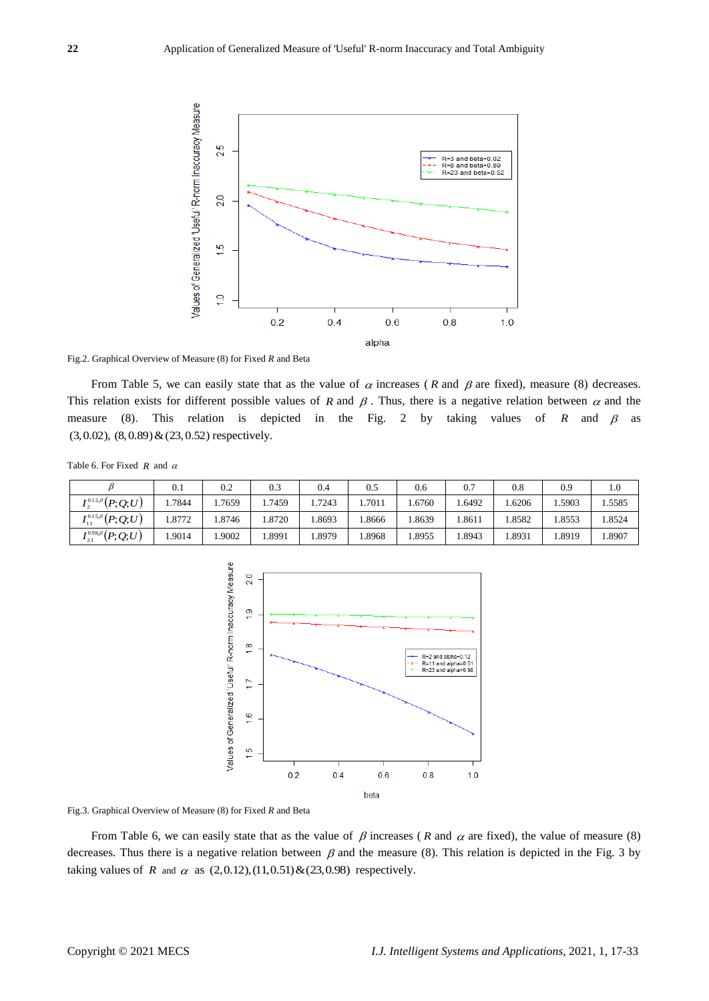

Fig.2. Graphical Overview of Measure (8) for Fixed *R* and Beta

From Table 5, we can easily state that as the value of  $\alpha$  increases (R and  $\beta$  are fixed), measure (8) decreases. This relation exists for different possible values of R and  $\beta$ . Thus, there is a negative relation between  $\alpha$  and the measure (8). This relation is depicted in the Fig. 2 by taking values of R and  $\beta$  as (3,0.02), (8,0.89)&(23,0.52) respectively.

Table 6. For Fixed  $R$  and  $\alpha$ 

|                                         | 0.1   | 0.2   | 0.3   | 0.4   | 0.5   | 0.6    | 0.7   | 0.8   | 0.9    | $1.0\,$ |
|-----------------------------------------|-------|-------|-------|-------|-------|--------|-------|-------|--------|---------|
| $I^{0.12 \beta}_2(P;Q;U)$               | .7844 | .7659 | .7459 | .7243 | .7011 | .6760  | .6492 | .6206 | .5903  | .5585   |
| $I_{11}^{0.15,\beta}\bigl(P;Q;U\bigr)$  | .8772 | .8746 | .8720 | .8693 | .8666 | .8639  | .8611 | .8582 | 1.8553 | .8524   |
| $I_{23}^{0.98\beta}(P;Q;U)$<br>$1_{23}$ | .9014 | .9002 | .8991 | .8979 | .8968 | 1.8955 | .8943 | .8931 | . 8919 | .8907   |



Fig.3. Graphical Overview of Measure (8) for Fixed *R* and Beta

From Table 6, we can easily state that as the value of  $\beta$  increases (R and  $\alpha$  are fixed), the value of measure (8) decreases. Thus there is a negative relation between  $\beta$  and the measure (8). This relation is depicted in the Fig. 3 by taking values of R and  $\alpha$  as  $(2,0.12),(11,0.51)$  &  $(23,0.98)$  respectively.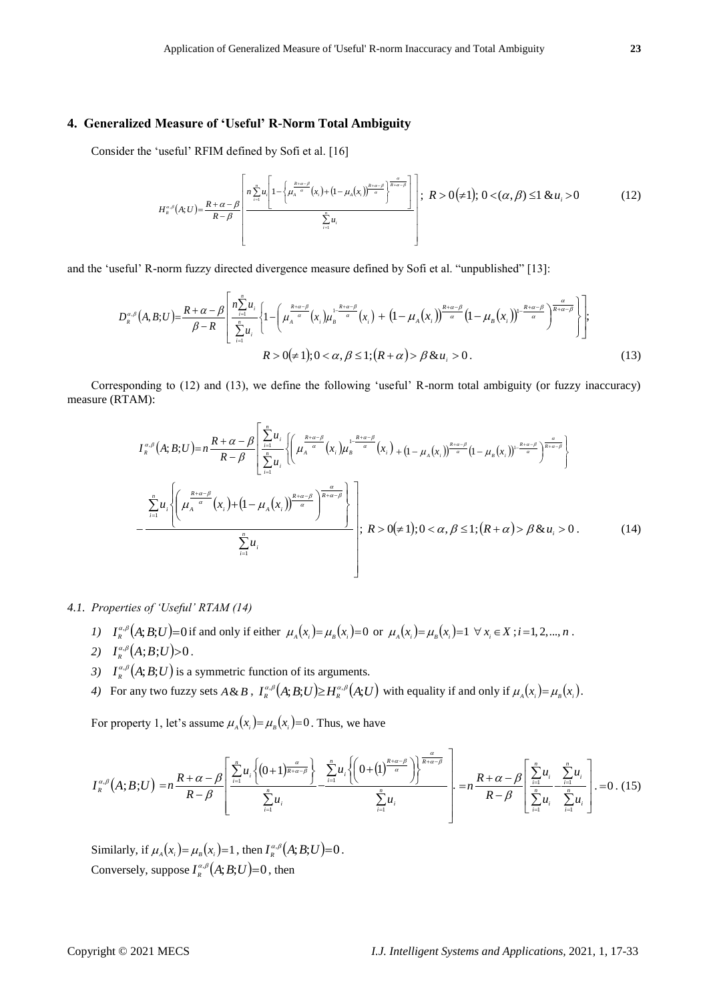# **4. Generalized Measure of 'Useful' R-Norm Total Ambiguity**

Consider the 'useful' RFIM defined by Sofi et al. [16]

$$
H_{\kappa}^{\alpha,\beta}(A;U) = \frac{R+\alpha-\beta}{R-\beta} \left[ \frac{n \sum_{i=1}^{n} u_i \left[ 1 - \left\{ \mu_{\lambda}^{\frac{R+\alpha-\beta}{\alpha}}(x_i) + (1-\mu_{\lambda}(x_i))^{\frac{R+\alpha-\beta}{\alpha}} \right\}^{\frac{\alpha}{R+\alpha-\beta}} \right]}{\sum_{i=1}^{n} u_i} \right]; \ \ R > 0 \ (\neq 1); \ 0 < (\alpha,\beta) \leq 1 \ \& \ u_i > 0 \tag{12}
$$

and the 'useful' R-norm fuzzy directed divergence measure defined by Sofi et al. "unpublished" [13]:

$$
D_{R}^{\alpha,\beta}(A,B;U) = \frac{R+\alpha-\beta}{\beta-R} \left[ \frac{n_{\sum_{i=1}^{n}u_{i}}}{\sum_{i=1}^{n}u_{i}} \left\{ 1 - \left( \mu_{A}^{\frac{R+\alpha-\beta}{\alpha}}(x_{i})\mu_{B}^{\frac{1-k+\alpha-\beta}{\alpha}}(x_{i}) + (1-\mu_{A}(x_{i}))^{\frac{R+\alpha-\beta}{\alpha}}(1-\mu_{B}(x_{i}))^{\frac{R+\alpha-\beta}{\alpha}} \right) \frac{\alpha}{R+\alpha-\beta} \right\} \right];
$$
  
  $R > 0(\neq 1); 0 < \alpha, \beta \leq 1; (R+\alpha) > \beta \& u_{i} > 0.$  (13)

Corresponding to (12) and (13), we define the following 'useful' R-norm total ambiguity (or fuzzy inaccuracy) measure (RTAM):

$$
I_{R}^{\alpha,\beta}(A;B;U)=n\frac{R+\alpha-\beta}{R-\beta}\left[\sum_{i=1}^{n}u_{i}\left\{\left(\mu_{A}^{\frac{R+\alpha-\beta}{\alpha}}(x_{i})\mu_{B}^{\frac{1-R+\alpha-\beta}{\alpha}}(x_{i})+(1-\mu_{A}(x_{i}))^{\frac{R+\alpha-\beta}{\alpha}}(1-\mu_{B}(x_{i}))^{\frac{1-R+\alpha-\beta}{\alpha}}\right)^{\frac{\alpha}{R+\alpha-\beta}}\right\}\right]
$$
\n
$$
-\frac{\sum_{i=1}^{n}u_{i}\left\{\left(\mu_{A}^{\frac{R+\alpha-\beta}{\alpha}}(x_{i})+(1-\mu_{A}(x_{i}))^{\frac{R+\alpha-\beta}{\alpha}}\right)^{\frac{\alpha}{R+\alpha-\beta}}\right\}}{\sum_{i=1}^{n}u_{i}};R>0(\neq 1);0<\alpha,\beta\leq 1;(R+\alpha)> \beta\&u_{i}>0.
$$
\n(14)

# *4.1. Properties of 'Useful' RTAM (14)*

- 1)  $I_{R}^{\alpha,\beta}(A;B;U) = 0$  if and only if either  $\mu_{A}(x_i) = \mu_{B}(x_i) = 0$  or  $\mu_{A}(x_i) = \mu_{B}(x_i) = 1 \ \forall x_i \in X$ ;  $i = 1, 2, ..., n$ .
- 2)  $I_{R}^{\alpha,\beta}(A;B;U) > 0$ .
- 3)  $I_{R}^{\alpha,\beta}(A;B;U)$  is a symmetric function of its arguments.
- 4) For any two fuzzy sets  $A \& B$ ,  $I_{R}^{\alpha,\beta}(A;B;U) \geq H_{R}^{\alpha,\beta}(A;U)$  with equality if and only if  $\mu_{A}(x_i) = \mu_{B}(x_i)$ .

For property 1, let's assume  $\mu_A(x_i) = \mu_B(x_i) = 0$ . Thus, we have

$$
I_{\kappa}^{\alpha,\beta}(A;B;U)=n\frac{R+\alpha-\beta}{R-\beta}\left[\frac{\sum\limits_{i=1}^{n}u_{i}\left\{(0+1)^{\frac{\alpha}{R+\alpha-\beta}}\right\}}{\sum\limits_{i=1}^{n}u_{i}}-\frac{\sum\limits_{i=1}^{n}u_{i}\left\{\left(0+\left(1\right)^{\frac{R+\alpha-\beta}{\alpha}}\right)\right\}^{\frac{\alpha}{R+\alpha-\beta}}}{\sum\limits_{i=1}^{n}u_{i}}\right]-n\frac{R+\alpha-\beta}{R-\beta}\left[\frac{\sum\limits_{i=1}^{n}u_{i}}{\sum\limits_{i=1}^{n}u_{i}}-\frac{\sum\limits_{i=1}^{n}u_{i}}{\sum\limits_{i=1}^{n}u_{i}}\right]-0\tag{15}
$$

Similarly, if  $\mu_A(x_i) = \mu_B(x_i) = 1$ , then  $I_R^{\alpha,\beta}(A;B;U) = 0$ . Conversely, suppose  $I^{\alpha,\beta}_\kappa\big(A;B;U\big)=0$  , then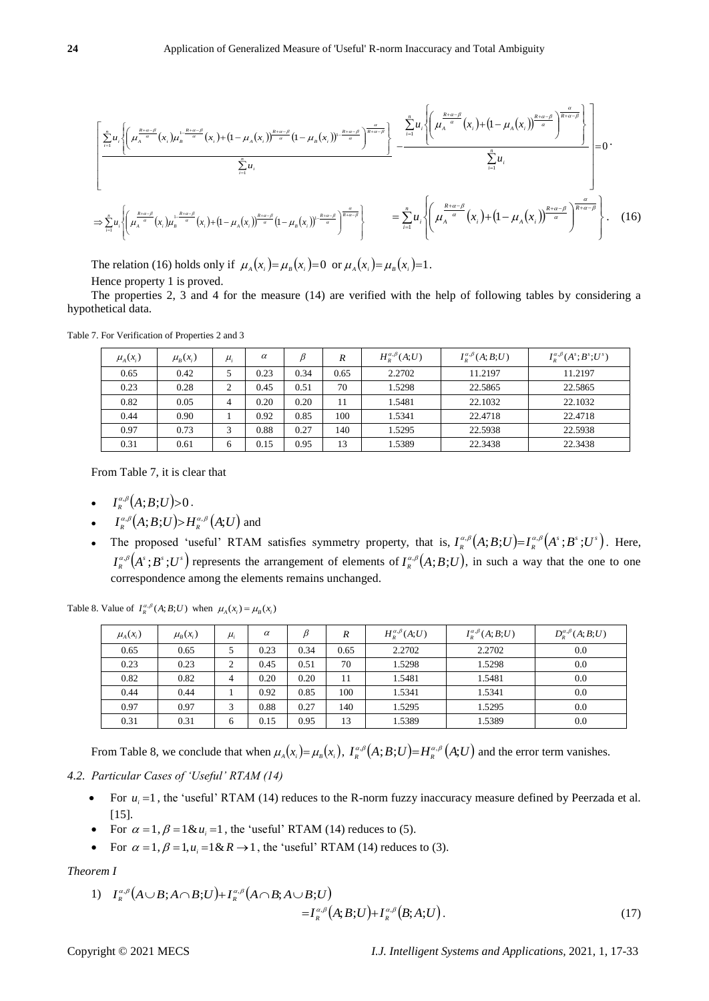$$
\frac{\left[\sum_{i=1}^{n} u_i \left\{ \left(\mu_{A}^{\frac{R+\alpha-\beta}{\alpha}}(x_i)\mu_{B}^{\frac{1-R+\alpha-\beta}{\alpha}}(x_i) + (1-\mu_{A}(x_i))^{\frac{R+\alpha-\beta}{\alpha}}(1-\mu_{B}(x_i))\right)^{\frac{R+\alpha-\beta}{\alpha}}\right\}^{n}}{\sum_{i=1}^{n} u_i} - \frac{\sum_{i=1}^{n} u_i \left\{ \left(\mu_{A}^{\frac{R+\alpha-\beta}{\alpha}}(x_i) + (1-\mu_{A}(x_i))^{\frac{R+\alpha-\beta}{\alpha}}\right)^{\frac{\alpha}{R+\alpha-\beta}}\right\}}{\sum_{i=1}^{n} u_i} - \frac{\sum_{i=1}^{n} u_i \left\{ \left(\mu_{A}^{\frac{R+\alpha-\beta}{\alpha}}(x_i) + (1-\mu_{A}(x_i))^{\frac{R+\alpha-\beta}{\alpha}}\right)^{\frac{\alpha}{R+\alpha-\beta}}\right\}}{2} - \frac{\sum_{i=1}^{n} u_i \left\{ \left(\mu_{A}^{\frac{R+\alpha-\beta}{\alpha}}(x_i) + (1-\mu_{A}(x_i))^{\frac{R+\alpha-\beta}{\alpha}}\right)^{\frac{\alpha}{R+\alpha-\beta}}\right\}}{2} - \frac{\sum_{i=1}^{n} u_i \left\{ \left(\mu_{A}^{\frac{R+\alpha-\beta}{\alpha}}(x_i) + (1-\mu_{A}(x_i))^{\frac{R+\alpha-\beta}{\alpha}}\right)^{\frac{\alpha}{R+\alpha-\beta}}\right\}}{2} - \frac{\sum_{i=1}^{n} u_i \left\{ \left(\mu_{A}^{\frac{R+\alpha-\beta}{\alpha}}(x_i) + (1-\mu_{A}(x_i))^{\frac{R+\alpha-\beta}{\alpha}}\right)^{\frac{\alpha}{R+\alpha-\beta}}\right\}}{2} - \frac{\sum_{i=1}^{n} u_i \left\{ \left(\mu_{A}^{\frac{R+\alpha-\beta}{\alpha}}(x_i) + (1-\mu_{A}(x_i))^{\frac{R+\alpha-\beta}{\alpha}}\right)^{\frac{\alpha}{R+\alpha-\beta}}\right\}}{2} - \frac{\sum_{i=1}^{n} u_i \left\{ \left(\mu_{A}^{\frac{R+\alpha-\beta}{\alpha}}(x_i) + (1-\mu_{A}(x_i))^{\frac{R+\alpha-\beta}{\alpha}}\right)^{\frac{\alpha}{R+\alpha-\beta}}\right\}}{2} - \frac{\sum_{i
$$

The relation (16) holds only if  $\mu_A(x_i) = \mu_B(x_i) = 0$  or  $\mu_A(x_i) = \mu_B(x_i) = 1$ .

Hence property 1 is proved.

The properties 2, 3 and 4 for the measure (14) are verified with the help of following tables by considering a hypothetical data.

| $\mu_A(x_i)$ | $\mu_{R}(x_i)$ | $\mu_{i}$ | $\alpha$ |      | $\boldsymbol{R}$ | $H^{\alpha,\beta}_R(A;U)$ | $I_{R}^{\alpha,\beta}(A;B;U)$ | $I_{p}^{\alpha,\beta}(A^{s};B^{s};U^{s})$ |
|--------------|----------------|-----------|----------|------|------------------|---------------------------|-------------------------------|-------------------------------------------|
| 0.65         | 0.42           |           | 0.23     | 0.34 | 0.65             | 2.2702                    | 11.2197                       | 11.2197                                   |
| 0.23         | 0.28           |           | 0.45     | 0.51 | 70               | 1.5298                    | 22.5865                       | 22.5865                                   |
| 0.82         | 0.05           | 4         | 0.20     | 0.20 | 11               | 1.5481                    | 22.1032                       | 22.1032                                   |
| 0.44         | 0.90           |           | 0.92     | 0.85 | 100              | 1.5341                    | 22.4718                       | 22.4718                                   |
| 0.97         | 0.73           | 3         | 0.88     | 0.27 | 140              | 1.5295                    | 22.5938                       | 22.5938                                   |
| 0.31         | 0.61           | 6         | 0.15     | 0.95 | 13               | 1.5389                    | 22.3438                       | 22.3438                                   |

Table 7. For Verification of Properties 2 and 3

From Table 7, it is clear that

- $I_{R}^{\alpha,\beta}(A;B;U)$ >0.
- $I_{\kappa}^{\alpha,\beta}(A;B;U) \rightarrow H_{\kappa}^{\alpha,\beta}(A;U)$  and
- The proposed 'useful' RTAM satisfies symmetry property, that is,  $I_R^{\alpha,\beta}(A;B;U)=I_R^{\alpha,\beta}(A^s;B^s;U^s)$ . Here,  $I_{R}^{\alpha,\beta}(A^s;B^s;U^s)$  represents the arrangement of elements of  $I_{R}^{\alpha,\beta}(A;B;U)$ , in such a way that the one to one correspondence among the elements remains unchanged.

Table 8. Value of  $I_R^{\alpha,\beta}(A;B;U)$  when  $\mu_A(x_i) = \mu_B(x_i)$ 

| $\mu_A(x_i)$ | $\mu_{\scriptscriptstyle R}(x_i)$ | $\mu_{i}$      | $\alpha$ | β    | R    | $H^{\alpha,\beta}_R(A;U)$ | $I_{R}^{\alpha,\beta}(A;B;U)$ | $D_{R}^{\alpha,\beta}(A;B;U)$ |
|--------------|-----------------------------------|----------------|----------|------|------|---------------------------|-------------------------------|-------------------------------|
| 0.65         | 0.65                              |                | 0.23     | 0.34 | 0.65 | 2.2702                    | 2.2702                        | 0.0                           |
| 0.23         | 0.23                              | $\Omega$       | 0.45     | 0.51 | 70   | 1.5298                    | 1.5298                        | 0.0                           |
| 0.82         | 0.82                              | $\overline{4}$ | 0.20     | 0.20 | 11   | 1.5481                    | 1.5481                        | 0.0                           |
| 0.44         | 0.44                              |                | 0.92     | 0.85 | 100  | 1.5341                    | 1.5341                        | 0.0                           |
| 0.97         | 0.97                              | 3              | 0.88     | 0.27 | 140  | 1.5295                    | 1.5295                        | 0.0                           |
| 0.31         | 0.31                              | 6              | 0.15     | 0.95 | 13   | 1.5389                    | 1.5389                        | 0.0                           |

From Table 8, we conclude that when  $\mu_A(x_i) = \mu_B(x_i)$ ,  $I_R^{\alpha,\beta}(A;B;U) = H_R^{\alpha,\beta}(A;U)$  and the error term vanishes.

*4.2. Particular Cases of 'Useful' RTAM (14)*

- For  $u_i = 1$ , the 'useful' RTAM (14) reduces to the R-norm fuzzy inaccuracy measure defined by Peerzada et al. [15].
- For  $\alpha = 1$ ,  $\beta = 1 \& u_i = 1$ , the 'useful' RTAM (14) reduces to (5).
- For  $\alpha = 1$ ,  $\beta = 1$ ,  $u_i = 1$  &  $R \rightarrow 1$ , the 'useful' RTAM (14) reduces to (3).

*Theorem I*

1) 
$$
I_{R}^{\alpha,\beta}(A\cup B;A\cap B;U)+I_{R}^{\alpha,\beta}(A\cap B;A\cup B;U)
$$

$$
=I_{R}^{\alpha,\beta}(A;B;U)+I_{R}^{\alpha,\beta}(B;A;U).
$$
 (17)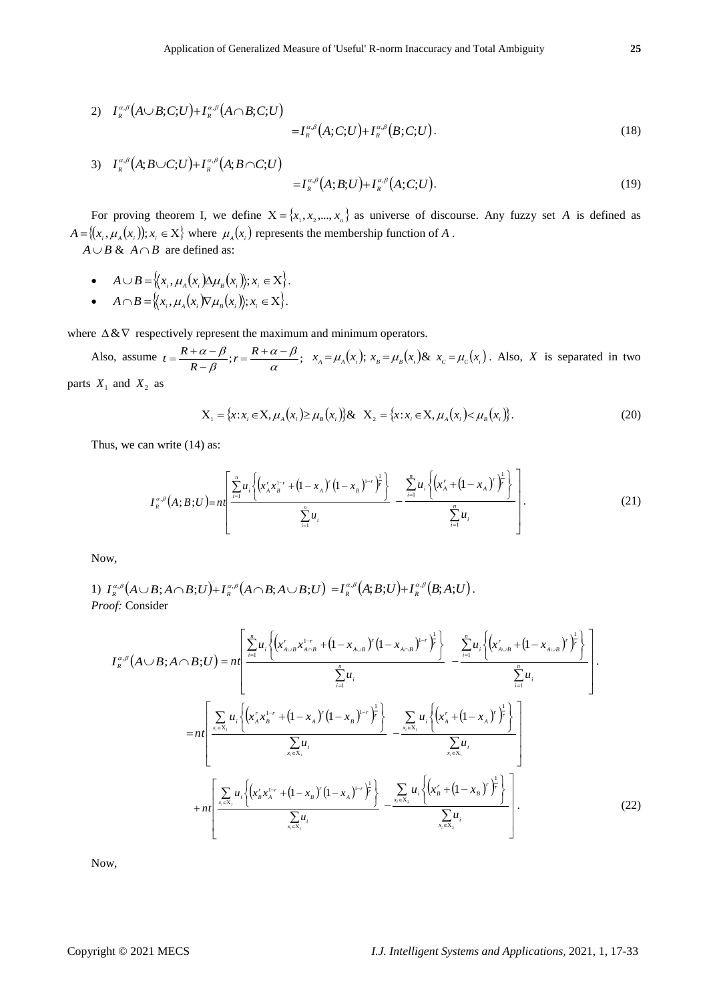$$
2) \quad I_{R}^{\alpha,\beta}(A\cup B;C;U) + I_{R}^{\alpha,\beta}(A\cap B;C;U) = I_{R}^{\alpha,\beta}(A;C;U) + I_{R}^{\alpha,\beta}(B;C;U). \tag{18}
$$

3) 
$$
I_{R}^{\alpha,\beta}(A;B\cup C;U)+I_{R}^{\alpha,\beta}(A;B\cap C;U)
$$

$$
=I_{R}^{\alpha,\beta}(A;B;U)+I_{R}^{\alpha,\beta}(A;C;U).
$$
 (19)

For proving theorem I, we define  $X = \{x_1, x_2, ..., x_n\}$  as universe of discourse. Any fuzzy set A is defined as  $A = \{(x_i, \mu_A(x_i)); x_i \in X\}$  where  $\mu_A(x_i)$  represents the membership function of A.

 $A \cup B \& A \cap B$  are defined as:  $\sim$ 

• 
$$
A \cup B = \langle\langle x_i, \mu_A(x_i) \Delta \mu_B(x_i) \rangle; x_i \in X \rangle.
$$

• 
$$
A \cap B = \{(x_i, \mu_A(x_i))\nabla \mu_B(x_i)\}; x_i \in X\}.
$$

where  $\Delta \& \nabla$  respectively represent the maximum and minimum operators.

Also, assume  $t = \frac{R + \alpha - \beta}{R - \beta}; r = \frac{R + \alpha - \beta}{\alpha};$  $\alpha-\beta$  $_{\beta}$  $\frac{\alpha-\beta}{\beta}; r = \frac{R+\alpha-\alpha}{\alpha}$  $=\frac{R+\alpha-\beta}{R-\beta}; r=\frac{R}{\beta}$  $x = R + \alpha - \beta$ ;  $r = \frac{R + \alpha - \beta}{R}$ ;  $x_A = \mu_A(x_i)$ ;  $x_B = \mu_B(x_i)$ &  $x_C = \mu_C(x_i)$ . Also, X is separated in two parts  $X_1$  and  $X_2$  as

$$
X_1 = \{x : x_i \in X, \mu_A(x_i) \ge \mu_B(x_i)\} \& \quad X_2 = \{x : x_i \in X, \mu_A(x_i) < \mu_B(x_i)\}.
$$
\n(20)

Thus, we can write (14) as:

$$
I_{R}^{\alpha,\beta}(A;B;U) = n\left[\frac{\sum_{i=1}^{n} u_{i} \left\{ \left( x_{A}^{r} x_{B}^{1-r} + \left( 1 - x_{A} \right)^{r} \left( 1 - x_{B} \right)^{1-r} \right)^{\frac{1}{r}} \right\}}{\sum_{i=1}^{n} u_{i}} - \frac{\sum_{i=1}^{n} u_{i} \left\{ \left( x_{A}^{r} + \left( 1 - x_{A} \right)^{r} \right)^{\frac{1}{r}} \right\}}{\sum_{i=1}^{n} u_{i}} \right].
$$
\n(21)

Now,

1) 
$$
I_{R}^{\alpha,\beta}(A \cup B; A \cap B; U) + I_{R}^{\alpha,\beta}(A \cap B; A \cup B; U) = I_{R}^{\alpha,\beta}(A;B;U) + I_{R}^{\alpha,\beta}(B;A;U).
$$
  
*Proof:* Consider

$$
I_{R}^{\alpha,\beta}(A\cup B;A\cap B;U) = n\left[\frac{\sum_{i=1}^{n}u_{i}\left\{(x'_{A\cup B}x^{1-r}_{A\cap B} + (1-x_{A\cup B})^{r}(1-x_{A\cap B})^{1-r}\right\}^{2}}{\sum_{i=1}^{n}u_{i}} - \frac{\sum_{i=1}^{n}u_{i}\left\{(x'_{A\cup B} + (1-x_{A\cup B})^{r}\right\}^{2}}{\sum_{i=1}^{n}u_{i}}\right] - \frac{\sum_{i=1}^{n}u_{i}\left\{(x'_{A\cup B} + (1-x_{A\cup B})^{r}\right\}^{2}}{\sum_{i=1}^{n}u_{i}}\right].
$$
\n
$$
= n\left[\frac{\sum_{x_{i}\in X_{1}}u_{i}\left\{(x'_{A}x^{1-r}_{B} + (1-x_{A})^{r}(1-x_{B})^{1-r}\right\}^{2}}{\sum_{x_{i}\in X_{1}}u_{i}} - \frac{\sum_{x_{i}\in X_{1}}u_{i}\left\{(x'_{A} + (1-x_{A})^{r}\right\}^{2}}{\sum_{x_{i}\in X_{1}}u_{i}}\right] + n\left[\frac{\sum_{x_{i}\in X_{2}}u_{i}\left\{(x'_{B}x^{1-r}_{A} + (1-x_{B})^{r}(1-x_{A})^{1-r}\right\}^{2}}{\sum_{x_{i}\in X_{2}}u_{i}} - \frac{\sum_{x_{i}\in X_{2}}u_{i}\left\{(x'_{B} + (1-x_{B})^{r}\right\}^{2}}{\sum_{x_{i}\in X_{2}}u_{i}}\right].
$$
\n(22)

Now,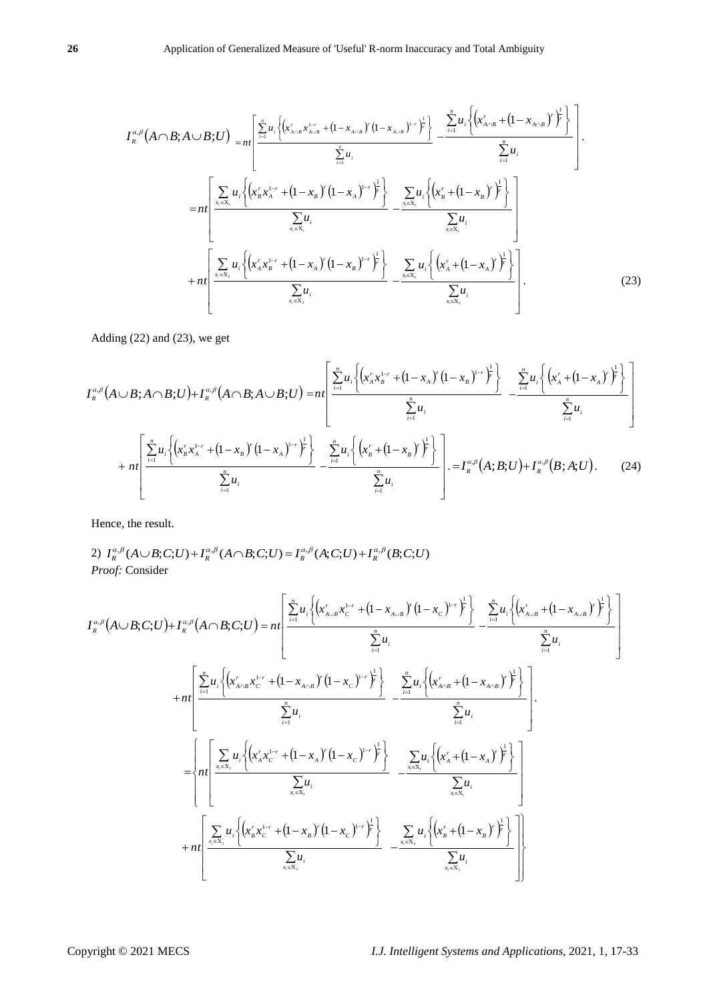$$
I_{R}^{\alpha,\beta}(A\cap B;A\cup B;U) = n t \left[ \frac{\sum_{i=1}^{n} u_{i} \left\{ (x_{A\cap B}^{r}, x_{A\cup B}^{1-r} + (1 - x_{A\cap B})^{r} (1 - x_{A\cup B})^{1-r})^{2} \right\}}{\sum_{i=1}^{n} u_{i}} - \frac{\sum_{i=1}^{n} u_{i} \left\{ (x_{A\cap B}^{r} + (1 - x_{A\cap B})^{r})^{2} \right\}}{\sum_{i=1}^{n} u_{i}} \right]
$$
  
\n
$$
= n t \left[ \frac{\sum_{x_{i}\in X_{i}} u_{i} \left\{ (x_{B}^{r}, x_{A}^{1-r} + (1 - x_{B})^{r} (1 - x_{A})^{1-r})^{2} \right\}}{\sum_{x_{i}\in X_{i}} u_{i}} - \frac{\sum_{x_{i}\in X_{i}} u_{i} \left\{ (x_{B}^{r} + (1 - x_{B})^{r})^{2} \right\}}{\sum_{x_{i}\in X_{i}} u_{i}} \right]
$$
  
\n
$$
+ n t \left[ \frac{\sum_{x_{i}\in X_{s}} u_{i} \left\{ (x_{A}^{r}, x_{B}^{1-r} + (1 - x_{A})^{r} (1 - x_{B})^{1-r})^{2} \right\}}{\sum_{x_{i}\in X_{s}} u_{i}} - \frac{\sum_{x_{i}\in X_{s}} u_{i} \left\{ (x_{A}^{r} + (1 - x_{A})^{r})^{2} \right\}}{\sum_{x_{i}\in X_{s}} u_{i}} \right]} \right].
$$
\n(23)

Adding (22) and (23), we get

$$
I_{R}^{\alpha,\beta}(A\cup B;A\cap B;U)+I_{R}^{\alpha,\beta}(A\cap B;A\cup B;U)=n\left[\frac{\sum_{i=1}^{n}u_{i}\left\{\left(x_{A}^{r}x_{B}^{1-r}+\left(1-x_{A}\right)^{r}\left(1-x_{B}\right)^{1-r}\right)^{\frac{1}{r}}\right\}}{\sum_{i=1}^{n}u_{i}}-\frac{\sum_{i=1}^{n}u_{i}\left\{\left(x_{A}^{r}+\left(1-x_{A}\right)^{r}\right)^{\frac{1}{r}}\right\}}{\sum_{i=1}^{n}u_{i}}\right\}}{\sum_{i=1}^{n}u_{i}}+\frac{\left[\sum_{i=1}^{n}u_{i}\left\{\left(x_{B}^{r}x_{A}^{1-r}+\left(1-x_{B}\right)^{r}\left(1-x_{A}\right)^{1-r}\right)^{\frac{1}{r}}\right\}}{\sum_{i=1}^{n}u_{i}}-\frac{\sum_{i=1}^{n}u_{i}\left\{\left(x_{B}^{r}+\left(1-x_{B}\right)^{r}\right)^{\frac{1}{r}}\right\}}{\sum_{i=1}^{n}u_{i}}\right\}}-\frac{I_{R}^{\alpha,\beta}(A;B;U)+I_{R}^{\alpha,\beta}(B;A;U). (24)
$$

Hence, the result.

Hence, the result.  
\n2) 
$$
I_R^{\alpha,\beta}(A \cup B; C; U) + I_R^{\alpha,\beta}(A \cap B; C; U) = I_R^{\alpha,\beta}(A; C; U) + I_R^{\alpha,\beta}(B; C; U)
$$
  
\n*Proof:* Consider

$$
I_{n}^{\alpha} (A \cap B; A \cup B; U) = m \left[ \frac{\frac{1}{2} m_{1} \left[ (x_{n}^{\prime} x_{n}^{\prime \prime} + (1 - x_{n})^{\prime} (1 - x_{n})^{-1} \right]^{2}}{\sum_{n} u_{n}} - \frac{1}{2} \frac{1}{2} u_{n} \left[ (x_{n}^{\prime} x_{n}^{\prime \prime} + (1 - x_{n})^{\prime} (1 - x_{n})^{-1} \right]^{2}}{\sum_{n} u_{n} \left[ (x_{n}^{\prime} x_{n}^{\prime \prime} + (1 - x_{n})^{\prime} (1 - x_{n})^{-1} \right]^{2}} - \frac{1}{2} \frac{1}{2} u_{n} \left[ (x_{n}^{\prime} + (1 - x_{n}))^{2} \right]^{2}}{\sum_{n} u_{n} \left[ (x_{n}^{\prime} + (1 - x_{n}))^{2} \right]^{2}} - \frac{1}{2} \frac{1}{2} u_{n} \left[ (x_{n}^{\prime} + (1 - x_{n}))^{2} \right]^{2}}{\sum_{n} u_{n} \left[ (x_{n}^{\prime} + (1 - x_{n}))^{2} \right]^{2}} - \frac{1}{2} \frac{1}{2} u_{n} \left[ (x_{n}^{\prime} + (1 - x_{n}))^{2} \right]^{2}}{\sum_{n} u_{n} \left[ (x_{n}^{\prime} + (1 - x_{n}))^{2} \right]^{2}} - \frac{1}{2} u_{n} \left[ (x_{n}^{\prime} + (1 - x_{n}))^{2} \right] - \frac{1}{2} u_{n} \left[ (x_{n}^{\prime} + (1 - x_{n}))^{2} \right] - \frac{1}{2} u_{n} \left[ (x_{n}^{\prime} + (1 - x_{n}))^{2} \right] - \frac{1}{2} u_{n} \left[ (x_{n}^{\prime} + (1 - x_{n}))^{2} \right] - \frac{1}{2} u_{n} \left[ (x_{n}^{\prime} + (1 - x_{n}))^{2} \right] - \frac{1}{2} u_{n} \left[ (x_{n}^{\prime} + (1 - x_{n}))^{2} \right] - \frac{1}{2} u_{n} \left[ (x_{n}^{\prime} + (1 - x_{n}))^{2
$$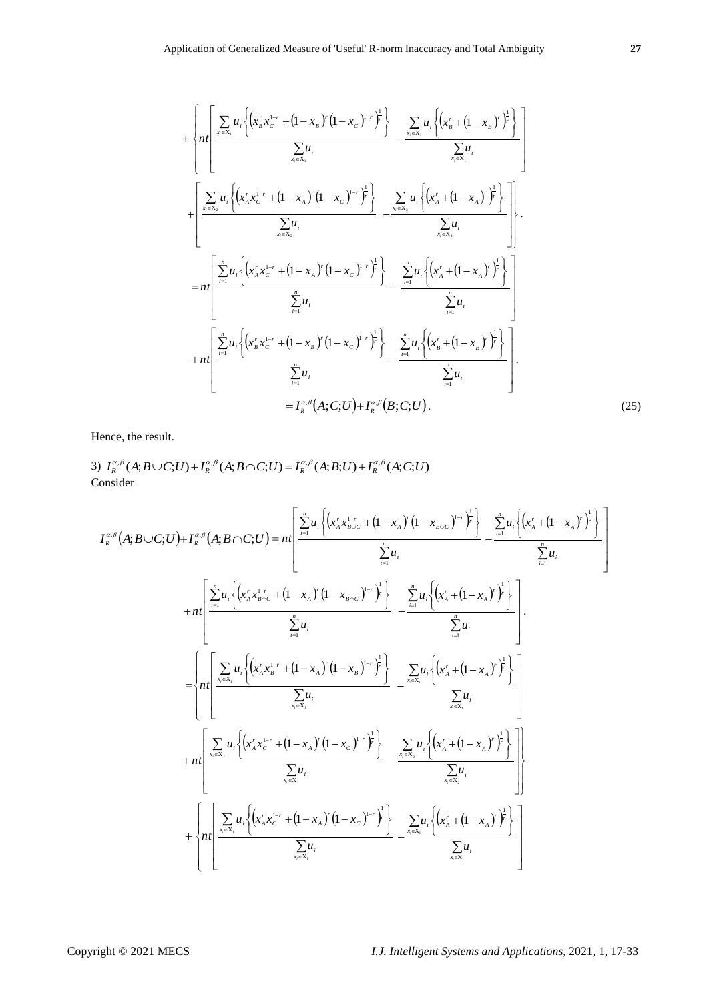$$
+ \left\{ n t \left[ \frac{\sum_{x_i \in X_i} u_i \left\{ (x'_s x_c^{1-r} + (1 - x_s)^\top (1 - x_c)^{1-r} \right\}^2 \right\}}{\sum_{x_i \in X_i} u_i} - \frac{\sum_{x_i \in X_i} u_i \left\{ (x'_s + (1 - x_s)^\top)^2 \right\}}{\sum_{x_i \in X_i} u_i} \right\} \right] + \left[ \frac{\sum_{x_i \in X_i} u_i \left\{ (x'_s x_c^{1-r} + (1 - x_s)^\top (1 - x_c)^{1-r} \right\}^2 \right\}}{\sum_{x_i \in X_i} u_i} - \frac{\sum_{x_i \in X_i} u_i \left\{ (x'_s + (1 - x_s)^\top)^2 \right\}}{\sum_{x_i \in X_i} u_i} \right].
$$
  
\n
$$
= n t \left[ \frac{\sum_{i=1}^n u_i \left\{ (x'_s x_c^{1-r} + (1 - x_s)^\top (1 - x_c)^{1-r} \right\}^2 \right\}}{\sum_{i=1}^n u_i} - \frac{\sum_{i=1}^n u_i \left\{ (x'_s + (1 - x_s)^\top)^2 \right\}}{\sum_{i=1}^n u_i} \right].
$$
  
\n
$$
+ n t \left[ \frac{\sum_{i=1}^n u_i \left\{ (x'_s x_c^{1-r} + (1 - x_s)^\top (1 - x_c)^{1-r} \right\}^2 \right\}}{\sum_{i=1}^n u_i} - \frac{\sum_{i=1}^n u_i \left\{ (x'_s + (1 - x_s)^\top)^2 \right\}}{\sum_{i=1}^n u_i} \right].
$$
  
\n
$$
= I_n^{\alpha, \beta}(A; C; U) + I_n^{\alpha, \beta}(B; C; U).
$$
  
\n(25)

Hence, the result.

Hence, the result.  
\n3) 
$$
I_R^{\alpha,\beta}(A; B \cup C; U) + I_R^{\alpha,\beta}(A; B \cap C; U) = I_R^{\alpha,\beta}(A; B; U) + I_R^{\alpha,\beta}(A; C; U)
$$
  
\nConsider

$$
I_{\kappa}^{a,\beta}(A;B\cup C;U)+I_{\kappa}^{a,\beta}(A;B\cap C;U)=n\left[\frac{\sum_{i=1}^{n}u_{i}\left\{\left(x_{A}^{r}\mathbf{x}_{B\cup C}^{1-r}+\left(1-x_{A}\right)^{r}\left(1-x_{B\cup C}\right)^{1-r}\right)^{\frac{1}{r}}\right\}}{\sum_{i=1}^{n}u_{i}}-\frac{\sum_{i=1}^{n}u_{i}\left\{\left(x_{A}^{r}+\left(1-x_{A}\right)^{r}\right)^{\frac{1}{r}}\right\}}{\sum_{i=1}^{n}u_{i}}-\frac{\sum_{i=1}^{n}u_{i}\left\{\left(x_{A}^{r}+\left(1-x_{A}\right)^{r}\right)^{\frac{1}{r}}\right\}}{\sum_{i=1}^{n}u_{i}}-\frac{\sum_{i=1}^{n}u_{i}\left\{\left(x_{A}^{r}+\left(1-x_{A}\right)^{r}\right)^{\frac{1}{r}}\right\}}{\sum_{i=1}^{n}u_{i}}-\frac{\sum_{i=1}^{n}u_{i}\left\{\left(x_{A}^{r}+\left(1-x_{A}\right)^{r}\right)^{\frac{1}{r}}\right\}}{\sum_{i\in\mathbb{N}_{i}}u_{i}}-\frac{\sum_{i\in\mathbb{N}_{i}}u_{i}\left\{\left(x_{A}^{r}+\left(1-x_{A}\right)^{r}\right)^{\frac{1}{r}}\right\}}{\sum_{i\in\mathbb{N}_{i}}u_{i}}-\frac{\sum_{i\in\mathbb{N}_{i}}u_{i}\left\{\left(x_{A}^{r}+\left(1-x_{A}\right)^{r}\right)^{\frac{1}{r}}\right\}}{\sum_{i\in\mathbb{N}_{i}}u_{i}}-\frac{\sum_{i\in\mathbb{N}_{i}}u_{i}\left\{\left(x_{A}^{r}+\left(1-x_{A}\right)^{r}\right)^{\frac{1}{r}}\right\}}{\sum_{i\in\mathbb{N}_{i}}u_{i}}-\frac{\sum_{i\in\mathbb{N}_{i}}u_{i}\left\{\left(x_{A}^{r}+\left(1-x_{A}\right)^{r}\right)^{\frac{1}{r}}\right\}}{\sum_{i\in\mathbb{N}_{i}}u_{i}}-\frac{\sum_{i\in\mathbb{N}_{i}}u_{i}\left\{\left(x_{A}^{r}+\left(1-x_{A}\right)^{r}\right)^{\frac
$$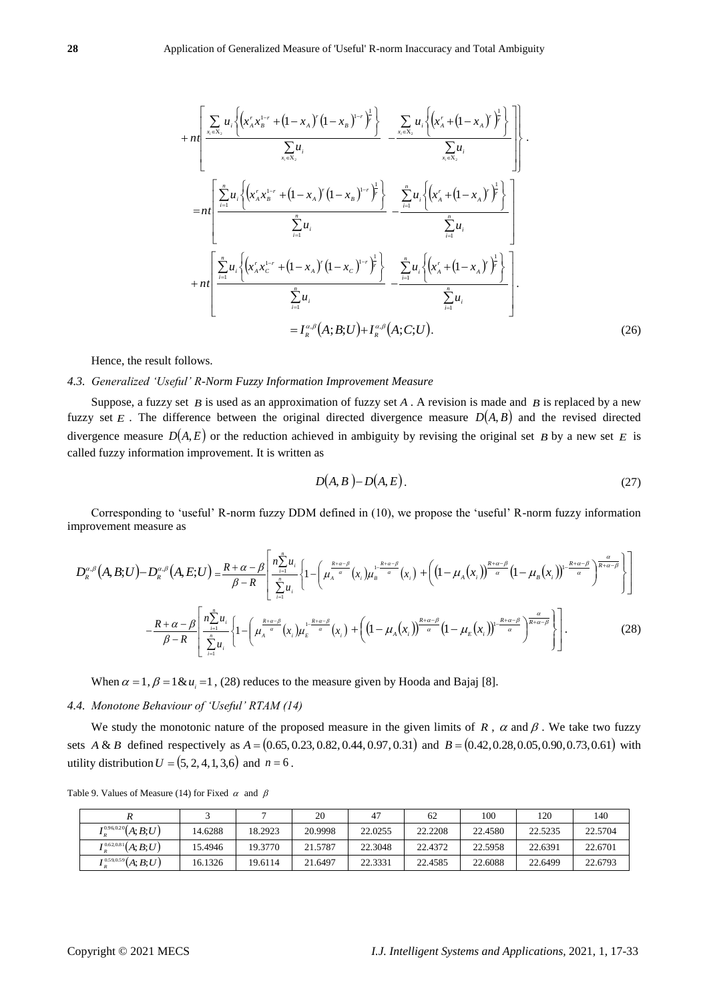$$
+ n \left[ \frac{\sum_{x_i \in X_2} u_i \left\{ (x_A^r x_B^{1-r} + (1 - x_A)^r (1 - x_B)^{1-r} \right\}^{\frac{1}{r}}}{\sum_{x_i \in X_2} u_i} - \frac{\sum_{x_i \in X_2} u_i \left\{ (x_A^r + (1 - x_A)^r)^{\frac{1}{r}} \right\}}{\sum_{x_i \in X_2} u_i} \right].
$$
  
\n
$$
= n \left[ \frac{\sum_{i=1}^n u_i \left\{ (x_A^r x_B^{1-r} + (1 - x_A)^r (1 - x_B)^{1-r} \right\}^{\frac{1}{r}} \right\}}{\sum_{i=1}^n u_i} - \frac{\sum_{i=1}^n u_i \left\{ (x_A^r + (1 - x_A)^r)^{\frac{1}{r}} \right\}}{\sum_{i=1}^n u_i} \right]
$$
  
\n
$$
+ n \left[ \frac{\sum_{i=1}^n u_i \left\{ (x_A^r x_C^{1-r} + (1 - x_A)^r (1 - x_C)^{1-r} \right\}^{\frac{1}{r}} \right\}}{\sum_{i=1}^n u_i} - \frac{\sum_{i=1}^n u_i \left\{ (x_A^r + (1 - x_A)^r)^{\frac{1}{r}} \right\}}{\sum_{i=1}^n u_i} - \frac{\sum_{i=1}^n u_i \left\{ (x_A^r + (1 - x_A)^r)^{\frac{1}{r}} \right\}}{\sum_{i=1}^n u_i} - \frac{\sum_{i=1}^n u_i \left\{ (x_A^r + (1 - x_A)^r)^{\frac{1}{r}} \right\}}{\sum_{i=1}^n u_i} - \frac{\sum_{i=1}^n u_i \left\{ (x_A^r + (1 - x_A)^r)^{\frac{1}{r}} \right\}}{\sum_{i=1}^n u_i} - \frac{\sum_{i=1}^n u_i \left\{ (x_A^r + (1 - x_A)^r)^{\frac{1}{r}} \right\}}{\sum_{i=1}^n u_i} - \frac{\sum_{i=1}^n u_i \left\{ (x_A^r + (1 - x_A)^r)^{\frac{1}{r}} \right\}}{\sum_{i=1}^n u_i} - \frac{\sum_{i=1}^n u_i \left\{ (x_A^r + (1 - x_A)^r)^{\frac{1}{r}} \right\}}{\sum_{i=
$$

Hence, the result follows.

# *4.3. Generalized 'Useful' R-Norm Fuzzy Information Improvement Measure*

Suppose, a fuzzy set  $B$  is used as an approximation of fuzzy set  $A$ . A revision is made and  $B$  is replaced by a new fuzzy set E. The difference between the original directed divergence measure  $D(A, B)$  and the revised directed divergence measure  $D(A, E)$  or the reduction achieved in ambiguity by revising the original set B by a new set E is called fuzzy information improvement. It is written as

$$
D(A, B) - D(A, E). \tag{27}
$$

Corresponding to 'useful' R-norm fuzzy DDM defined in (10), we propose the 'useful' R-norm fuzzy information improvement measure as

$$
D_{R}^{\alpha,\beta}(A,B;U)-D_{R}^{\alpha,\beta}(A,E;U)=\frac{R+\alpha-\beta}{\beta-R}\left[\frac{n_{\lambda}^{\frac{n}{\alpha}u_{i}}}{\sum_{i=1}^{n}u_{i}}\left\{1-\left(\mu_{A}^{\frac{R+\alpha-\beta}{\alpha}}(x_{i})\mu_{B}^{\frac{1-k+\alpha-\beta}{\alpha}}(x_{i})+\left(\left(1-\mu_{A}(x_{i})\right)^{\frac{R+\alpha-\beta}{\alpha}}(1-\mu_{B}(x_{i}))\right)^{\frac{R+\alpha-\beta}{\alpha}}\right)^{\frac{\alpha}{R+\alpha-\beta}}\right\}\right]
$$
\n
$$
-\frac{R+\alpha-\beta}{\beta-R}\left[\frac{n_{\lambda}^{\frac{n}{\alpha}u_{i}}}{\sum_{i=1}^{n}u_{i}}\left\{1-\left(\mu_{A}^{\frac{R+\alpha-\beta}{\alpha}}(x_{i})\mu_{E}^{\frac{1-k+\alpha-\beta}{\alpha}}(x_{i})+\left(\left(1-\mu_{A}(x_{i})\right)^{\frac{R+\alpha-\beta}{\alpha}}(1-\mu_{E}(x_{i}))\right)^{\frac{R+\alpha-\beta}{\alpha}}\right)^{\frac{\alpha}{R+\alpha-\beta}}\right\}\right].
$$
\n(28)

When  $\alpha = 1$ ,  $\beta = 1$  &  $u_i = 1$ , (28) reduces to the measure given by Hooda and Bajaj [8].

# *4.4. Monotone Behaviour of 'Useful' RTAM (14)*

We study the monotonic nature of the proposed measure in the given limits of  $R$ ,  $\alpha$  and  $\beta$ . We take two fuzzy sets *A* & *B* defined respectively as  $A = (0.65, 0.23, 0.82, 0.44, 0.97, 0.31)$  and  $B = (0.42, 0.28, 0.05, 0.90, 0.73, 0.61)$  with utility distribution  $U = (5, 2, 4, 1, 3, 6)$  and  $n = 6$ .

|                            |         |         | 20      | $4^{\circ}$ | 62      | 100     | 120     | 140     |
|----------------------------|---------|---------|---------|-------------|---------|---------|---------|---------|
| $I_n^{0.96,0.20}(A;B;U)$   | 14.6288 | 18.2923 | 20.9998 | 22.0255     | 22.2208 | 22.4580 | 22.5235 | 22.5704 |
| $I_{R}^{0.62,0.81}(A;B;U)$ | 15.4946 | 19.3770 | 21.5787 | 22.3048     | 22.4372 | 22.5958 | 22.6391 | 22.6701 |
| $Ip0.59,0.59(A;B;U)$       | 16.1326 | 19.6114 | 21.6497 | 22.3331     | 22.4585 | 22.6088 | 22.6499 | 22.6793 |

Table 9. Values of Measure (14) for Fixed  $\alpha$  and  $\beta$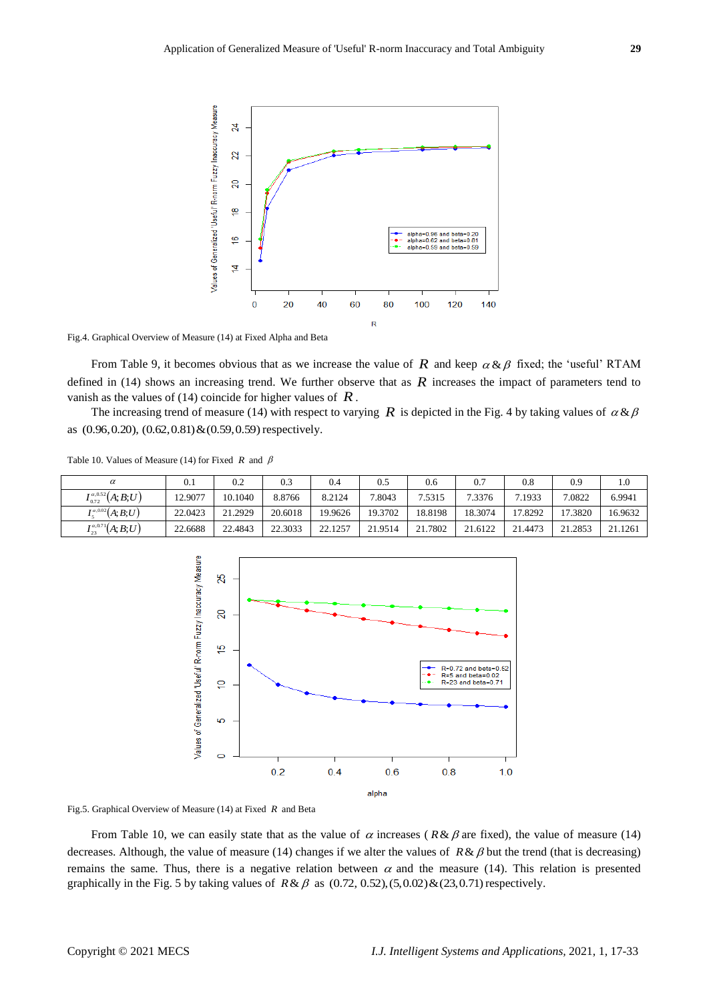

Fig.4. Graphical Overview of Measure (14) at Fixed Alpha and Beta

From Table 9, it becomes obvious that as we increase the value of  $R$  and keep  $\alpha \& \beta$  fixed; the 'useful' RTAM defined in  $(14)$  shows an increasing trend. We further observe that as  $R$  increases the impact of parameters tend to vanish as the values of (14) coincide for higher values of  $\tilde{R}$ .

The increasing trend of measure (14) with respect to varying  $R$  is depicted in the Fig. 4 by taking values of  $\alpha \& \beta$ as (0.96,0.20), (0.62,0.81)&(0.59,0.59) respectively.

|  | Table 10. Values of Measure (14) for Fixed R and $\beta$ |  |  |  |  |  |  |
|--|----------------------------------------------------------|--|--|--|--|--|--|
|--|----------------------------------------------------------|--|--|--|--|--|--|

| $\alpha$                        | 0.1     | 0.2     | 0.3     | 0.4     | 0.5     | 0.6     | 0.7     | 0.8     | 0.9     | 1.0     |
|---------------------------------|---------|---------|---------|---------|---------|---------|---------|---------|---------|---------|
| $I_{0.72}^{\alpha,0.52}(A;B;U)$ | 12.9077 | 10.1040 | 8.8766  | 8.2124  | 7.8043  | 7.5315  | 7.3376  | 7.1933  | 7.0822  | 6.9941  |
| $I_{5}^{\alpha,0.02}(A;B;U)$    | 22.0423 | 21.2929 | 20.6018 | 19.9626 | 19.3702 | 18.8198 | 18.3074 | 17.8292 | 17.3820 | 16.9632 |
| $I_{23}^{\alpha,0.71}(A;B;U)$   | 22.6688 | 22.4843 | 22.3033 | 22.1257 | 21.9514 | 21.7802 | 21.6122 | 21.4473 | 21.2853 | 21.1261 |



Fig.5. Graphical Overview of Measure (14) at Fixed *R* and Beta

From Table 10, we can easily state that as the value of  $\alpha$  increases ( $R \& \beta$  are fixed), the value of measure (14) decreases. Although, the value of measure (14) changes if we alter the values of  $R \& \beta$  but the trend (that is decreasing) remains the same. Thus, there is a negative relation between  $\alpha$  and the measure (14). This relation is presented graphically in the Fig. 5 by taking values of  $R \& \beta$  as  $(0.72, 0.52), (5, 0.02) \& (23, 0.71)$  respectively.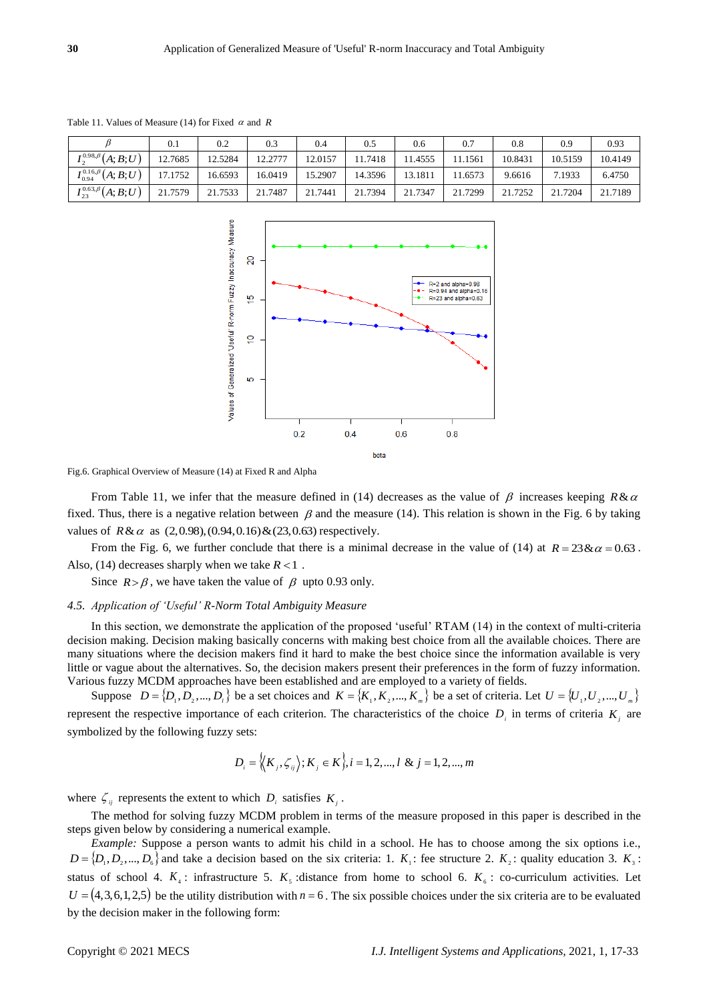|                                | 0.1     | 0.2     | 0.3     | 0.4     | 0.5     | 0.6     | 0.7     | 0.8     | 0.9     | 0.93    |
|--------------------------------|---------|---------|---------|---------|---------|---------|---------|---------|---------|---------|
| $I_2^{0.98,\beta}(A;B;U)$      | 12.7685 | 12.5284 | 12.2777 | 12.0157 | 11.7418 | 11.4555 | 11.1561 | 10.8431 | 10.5159 | 10.4149 |
| $I_{0.94}^{0.16,\beta}(A;B;U)$ | 17.1752 | 16.6593 | 16.0419 | 15.2907 | 14.3596 | 13.1811 | 1.6573  | 9.6616  | 7.1933  | 6.4750  |
| $I_{23}^{0.63,\beta}(A;B;U)$   | 21.7579 | 21.7533 | 21.7487 | 21.7441 | 21.7394 | 21.7347 | 21.7299 | 21.7252 | 21.7204 | 21.7189 |

Table 11. Values of Measure (14) for Fixed  $\alpha$  and  $R$ 



Fig.6. Graphical Overview of Measure (14) at Fixed R and Alpha

From Table 11, we infer that the measure defined in (14) decreases as the value of  $\beta$  increases keeping  $R\&\alpha$ fixed. Thus, there is a negative relation between  $\beta$  and the measure (14). This relation is shown in the Fig. 6 by taking values of  $R & \alpha$  as  $(2, 0.98), (0.94, 0.16) & (23, 0.63)$  respectively.

From the Fig. 6, we further conclude that there is a minimal decrease in the value of (14) at  $R = 23 \& \alpha = 0.63$ . Also,  $(14)$  decreases sharply when we take  $R < 1$ .

Since  $R > \beta$ , we have taken the value of  $\beta$  upto 0.93 only.

#### *4.5. Application of 'Useful' R-Norm Total Ambiguity Measure*

In this section, we demonstrate the application of the proposed 'useful' RTAM (14) in the context of multi-criteria decision making. Decision making basically concerns with making best choice from all the available choices. There are many situations where the decision makers find it hard to make the best choice since the information available is very little or vague about the alternatives. So, the decision makers present their preferences in the form of fuzzy information. Various fuzzy MCDM approaches have been established and are employed to a variety of fields.

Suppose  $D = \{D_1, D_2, ..., D_i\}$  be a set choices and  $K = \{K_1, K_2, ..., K_m\}$  be a set of criteria. Let  $U = \{U_1, U_2, ..., U_m\}$ represent the respective importance of each criterion. The characteristics of the choice  $D_i$  in terms of criteria  $K_i$  are symbolized by the following fuzzy sets:

$$
D_i = \langle K_j, \zeta_{ij} \rangle; K_j \in K_j, i = 1, 2, ..., l \& j = 1, 2, ..., m
$$

where  $\zeta_{ij}$  represents the extent to which  $D_i$  satisfies  $K_j$ .

The method for solving fuzzy MCDM problem in terms of the measure proposed in this paper is described in the steps given below by considering a numerical example.

*Example:* Suppose a person wants to admit his child in a school. He has to choose among the six options i.e.,  $D = \{D_1, D_2, ..., D_6\}$  and take a decision based on the six criteria: 1.  $K_1$ : fee structure 2.  $K_2$ : quality education 3.  $K_3$ : status of school 4.  $K_4$ : infrastructure 5.  $K_5$ : distance from home to school 6.  $K_6$ : co-curriculum activities. Let  $U = (4,3,6,1,2,5)$  be the utility distribution with  $n = 6$ . The six possible choices under the six criteria are to be evaluated by the decision maker in the following form: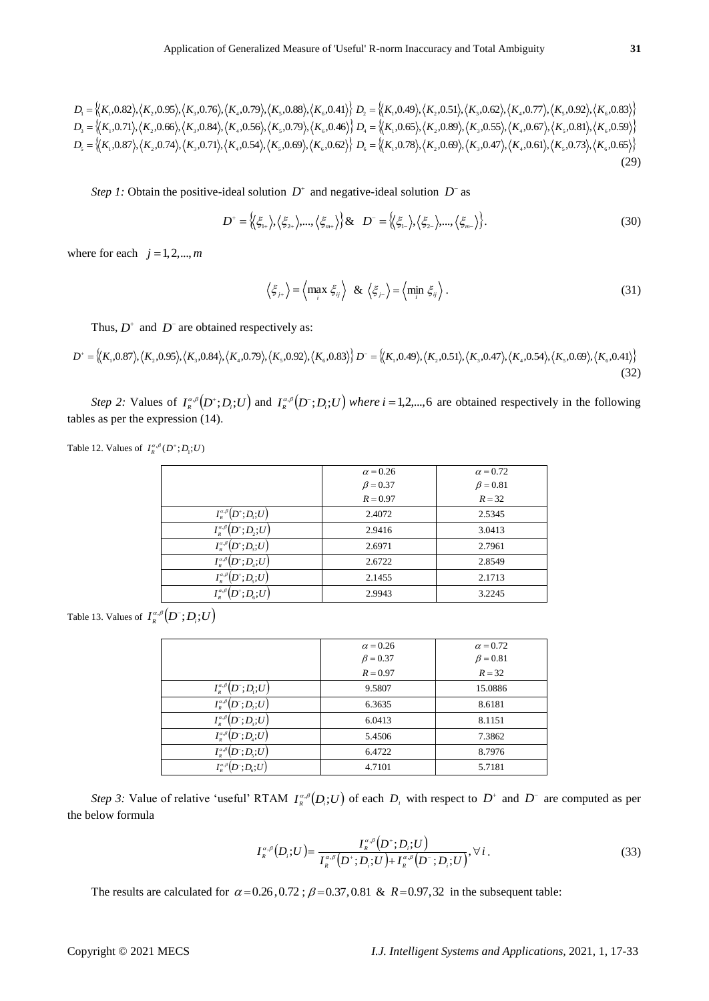$$
D^{\dagger} = \left\langle \left\langle \xi_{1+} \right\rangle, \left\langle \xi_{2+} \right\rangle, \dots, \left\langle \xi_{m+} \right\rangle \right\rangle \& D^{\dagger} = \left\langle \left\langle \xi_{1-} \right\rangle, \left\langle \xi_{2-} \right\rangle, \dots, \left\langle \xi_{m-} \right\rangle \right\rangle. \tag{30}
$$

$$
\left\langle \xi_{j+} \right\rangle = \left\langle \max_{i} \xi_{ij} \right\rangle \& \left\langle \xi_{j-} \right\rangle = \left\langle \min_{i} \xi_{ij} \right\rangle. \tag{31}
$$

$$
D^* = \{(K_1, 0.87), (K_2, 0.95), (K_3, 0.84), (K_4, 0.79), (K_5, 0.92), (K_6, 0.83)\} \quad D^- = \{(K_1, 0.49), (K_2, 0.51), (K_3, 0.47), (K_4, 0.54), (K_5, 0.69), (K_6, 0.41)\}\
$$
\n(32)

| Step 1: Obtain the positive-ideal solution $D^+$ and negative-ideal solution $D^-$ as                                                                                                                                                                                                                                                                      |                                                                                                                                                                                                                                                                                                                                                      |                                                           |      |
|------------------------------------------------------------------------------------------------------------------------------------------------------------------------------------------------------------------------------------------------------------------------------------------------------------------------------------------------------------|------------------------------------------------------------------------------------------------------------------------------------------------------------------------------------------------------------------------------------------------------------------------------------------------------------------------------------------------------|-----------------------------------------------------------|------|
|                                                                                                                                                                                                                                                                                                                                                            | $D^* = \{(\xi_1), (\xi_2), , (\xi_m)\}\& D^* = \{(\xi_1), (\xi_2), , (\xi_m)\}.$                                                                                                                                                                                                                                                                     |                                                           | (30) |
| where for each $j = 1, 2, , m$                                                                                                                                                                                                                                                                                                                             |                                                                                                                                                                                                                                                                                                                                                      |                                                           |      |
|                                                                                                                                                                                                                                                                                                                                                            | $\left\langle \xi_{j+} \right\rangle = \left\langle \max_j \xi_{ij} \right\rangle \& \left\langle \xi_{j-} \right\rangle = \left\langle \min_j \xi_{ij} \right\rangle.$                                                                                                                                                                              |                                                           | (31) |
| Thus, $D^+$ and $D^-$ are obtained respectively as:                                                                                                                                                                                                                                                                                                        |                                                                                                                                                                                                                                                                                                                                                      |                                                           |      |
| $D^* = \langle K_1, 0.87 \rangle, \langle K_2, 0.95 \rangle, \langle K_3, 0.84 \rangle, \langle K_4, 0.79 \rangle, \langle K_5, 0.92 \rangle, \langle K_6, 0.83 \rangle \}$<br>$D^* = \langle K_1, 0.49 \rangle, \langle K_2, 0.51 \rangle, \langle K_3, 0.47 \rangle, \langle K_4, 0.54 \rangle, \langle K_5, 0.69 \rangle, \langle K_6, 0.41 \rangle \}$ |                                                                                                                                                                                                                                                                                                                                                      |                                                           |      |
|                                                                                                                                                                                                                                                                                                                                                            |                                                                                                                                                                                                                                                                                                                                                      |                                                           | (32) |
| Step 2: Values of $I_{R}^{\alpha,\beta}(D^{+}; D_i; U)$ and $I_{R}^{\alpha,\beta}(D^{-}; D_i; U)$ where $i = 1, 2, , 6$ are obtained respectively in the following                                                                                                                                                                                         |                                                                                                                                                                                                                                                                                                                                                      |                                                           |      |
| tables as per the expression (14).                                                                                                                                                                                                                                                                                                                         |                                                                                                                                                                                                                                                                                                                                                      |                                                           |      |
| Table 12. Values of $I_R^{\alpha,\beta}(D^*;D_1;U)$                                                                                                                                                                                                                                                                                                        |                                                                                                                                                                                                                                                                                                                                                      |                                                           |      |
|                                                                                                                                                                                                                                                                                                                                                            |                                                                                                                                                                                                                                                                                                                                                      |                                                           |      |
|                                                                                                                                                                                                                                                                                                                                                            | $\alpha$ = 0.26<br>$\beta = 0.37$                                                                                                                                                                                                                                                                                                                    | $\alpha$ = 0.72<br>$\beta = 0.81$                         |      |
|                                                                                                                                                                                                                                                                                                                                                            | $R = 0.97$                                                                                                                                                                                                                                                                                                                                           | $R = 32$                                                  |      |
| $I^{\alpha,\beta}_{\scriptscriptstyle R}\big(D^+;D_{\!\scriptscriptstyle 1};U\big)$                                                                                                                                                                                                                                                                        | 2.4072                                                                                                                                                                                                                                                                                                                                               | 2.5345                                                    |      |
| $\overline{I^{\scriptscriptstyle \alpha,\beta}_{\scriptscriptstyle \rm p}}\big(D^*;D_{\scriptscriptstyle 2};U\big)$                                                                                                                                                                                                                                        | 2.9416                                                                                                                                                                                                                                                                                                                                               | 3.0413                                                    |      |
| $I_{\scriptscriptstyle R}^{\scriptscriptstyle\alpha,\beta}\big(D^*;D_{\scriptscriptstyle 3};U\big)$                                                                                                                                                                                                                                                        | 2.6971                                                                                                                                                                                                                                                                                                                                               | 2.7961                                                    |      |
| $I^{\scriptscriptstyle\alpha,\beta}_{\scriptscriptstyle R}\big(D^*;D_{\scriptscriptstyle 4};\!U\big)$                                                                                                                                                                                                                                                      | 2.6722                                                                                                                                                                                                                                                                                                                                               | 2.8549                                                    |      |
| $I_{\scriptscriptstyle R}^{\scriptscriptstyle \alpha,\beta}\big(D^*;D_{\scriptscriptstyle 5};U\big)$                                                                                                                                                                                                                                                       | 2.1455                                                                                                                                                                                                                                                                                                                                               | 2.1713                                                    |      |
| $I_{\scriptscriptstyle R}^{\scriptscriptstyle\alpha,\beta}\big(D^*;D_{\scriptscriptstyle G};U\big)$                                                                                                                                                                                                                                                        | 2.9943                                                                                                                                                                                                                                                                                                                                               | 3.2245                                                    |      |
| Table 13. Values of $I^{\alpha,\beta}_\kappa\big(D^{\text{-}};D_{\text{i}};U\big)$                                                                                                                                                                                                                                                                         |                                                                                                                                                                                                                                                                                                                                                      |                                                           |      |
|                                                                                                                                                                                                                                                                                                                                                            |                                                                                                                                                                                                                                                                                                                                                      |                                                           |      |
|                                                                                                                                                                                                                                                                                                                                                            | $\alpha = 0.26$                                                                                                                                                                                                                                                                                                                                      | $\alpha$ = 0.72                                           |      |
|                                                                                                                                                                                                                                                                                                                                                            | $\beta = 0.37$                                                                                                                                                                                                                                                                                                                                       | $\beta = 0.81$                                            |      |
|                                                                                                                                                                                                                                                                                                                                                            | $R = 0.97$                                                                                                                                                                                                                                                                                                                                           | $R = 32$                                                  |      |
| $I^{\scriptscriptstyle\alpha,\beta}_{\scriptscriptstyle R}\big(D^{\scriptscriptstyle -};D_{\scriptscriptstyle \rm I};U\big)$                                                                                                                                                                                                                               | 9.5807                                                                                                                                                                                                                                                                                                                                               | 15.0886                                                   |      |
| $I^{\scriptscriptstyle\alpha,\beta}_{\scriptscriptstyle R}\big(D^{\scriptscriptstyle -};D_{\scriptscriptstyle 2};U\big)$                                                                                                                                                                                                                                   | 6.3635                                                                                                                                                                                                                                                                                                                                               | 8.6181                                                    |      |
| $I^{\scriptscriptstyle\alpha,\beta}_{\scriptscriptstyle R} \big(D^{\scriptscriptstyle -}; D_{\scriptscriptstyle 3}; U\big)$                                                                                                                                                                                                                                | 6.0413                                                                                                                                                                                                                                                                                                                                               | 8.1151                                                    |      |
| $I^{\alpha,\beta}_{_R}\big(D^{\text{-}};D_{\scriptscriptstyle 4};U\big)$                                                                                                                                                                                                                                                                                   | 5.4506                                                                                                                                                                                                                                                                                                                                               | 7.3862                                                    |      |
| $I^{\scriptscriptstyle{\alpha,\beta}}_{\scriptscriptstyle{R}}\big(D^{\scriptscriptstyle{-}};D_{\scriptscriptstyle{5}};U\big)$<br>$I^{\alpha,\beta}_{\scriptscriptstyle B}\big(D^{\scriptscriptstyle -}; D_{\scriptscriptstyle 6}; U\big)$                                                                                                                  | 6.4722<br>4.7101                                                                                                                                                                                                                                                                                                                                     | 8.7976<br>5.7181                                          |      |
|                                                                                                                                                                                                                                                                                                                                                            |                                                                                                                                                                                                                                                                                                                                                      |                                                           |      |
| Step 3: Value of relative 'useful' RTAM $I_{R}^{\alpha,\beta}(D_i;U)$ of each $D_i$ with respect to $D^+$ and $D^-$ are computed as pe<br>the below formula                                                                                                                                                                                                |                                                                                                                                                                                                                                                                                                                                                      |                                                           |      |
|                                                                                                                                                                                                                                                                                                                                                            | $I_{\scriptscriptstyle R}^{\scriptscriptstyle{\alpha,\beta}}\big(D_i;U\big) = \frac{I_{\scriptscriptstyle R}^{\scriptscriptstyle{\alpha,\beta}}\big(D^+;D_i;U\big)}{I_{\scriptscriptstyle P}^{\scriptscriptstyle{\alpha,\beta}}\big(D^+;D_i;U\big) + I_{\scriptscriptstyle P}^{\scriptscriptstyle{\alpha,\beta}}\big(D^-;D_i;U\big)}, \forall\,i\,.$ |                                                           | (33) |
| The results are calculated for $\alpha = 0.26, 0.72$ ; $\beta = 0.37, 0.81$ & $R = 0.97, 32$ in the subsequent table:                                                                                                                                                                                                                                      |                                                                                                                                                                                                                                                                                                                                                      |                                                           |      |
| Copyright © 2021 MECS                                                                                                                                                                                                                                                                                                                                      |                                                                                                                                                                                                                                                                                                                                                      | I.J. Intelligent Systems and Applications, 2021, 1, 17-33 |      |

|                                                                                                                    | $\alpha = 0.26$ | $\alpha = 0.72$ |
|--------------------------------------------------------------------------------------------------------------------|-----------------|-----------------|
|                                                                                                                    | $\beta = 0.37$  | $\beta = 0.81$  |
|                                                                                                                    | $R = 0.97$      | $R = 32$        |
| $I_{R}^{\alpha,\beta}(D^{-};D_{1};U)$                                                                              | 9.5807          | 15.0886         |
| $\left( D^{-};D_{i};U\right)$<br>$I_{\scriptscriptstyle R}^{\scriptscriptstyle \alpha,\beta}$                      | 6.3635          | 8.6181          |
| $(D^{\text{-}}; D_i; U)$<br>$I^{\alpha,\beta}_R$                                                                   | 6.0413          | 8.1151          |
| $I_{\scriptscriptstyle R}^{\scriptscriptstyle \alpha,\beta}(D^{\scriptscriptstyle -};D_{\scriptscriptstyle 4};U)$  | 5.4506          | 7.3862          |
| $I_{\scriptscriptstyle R}^{\scriptscriptstyle\alpha,\beta}(D^{\scriptscriptstyle -};D_{\!\scriptscriptstyle S};U)$ | 6.4722          | 8.7976          |
| $I^{\alpha,\beta}_R$<br>$^{\circ}(D^{-}; D_{\scriptscriptstyle{6}}; U)$                                            | 4.7101          | 5.7181          |

$$
I_{R}^{\alpha,\beta}(D_{i};U) = \frac{I_{R}^{\alpha,\beta}(D^{+};D_{i};U)}{I_{R}^{\alpha,\beta}(D^{+};D_{i};U) + I_{R}^{\alpha,\beta}(D^{-};D_{i};U)}, \forall i.
$$
\n(33)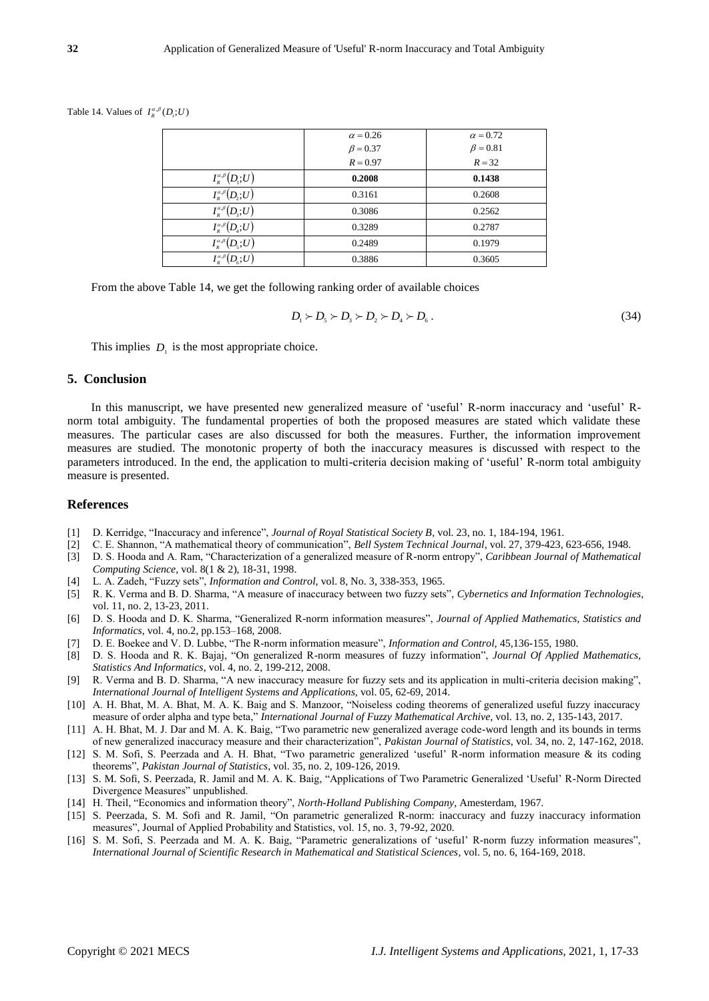Table 14. Values of  $I_R^{\alpha,\beta}(D_i;U)$ 

|                                                                                                              | $\alpha = 0.26$ | $\alpha = 0.72$ |
|--------------------------------------------------------------------------------------------------------------|-----------------|-----------------|
|                                                                                                              | $\beta = 0.37$  | $\beta = 0.81$  |
|                                                                                                              | $R = 0.97$      | $R = 32$        |
| $I_{\scriptscriptstyle R}^{\alpha,\beta}$<br>$(D_\cdot;U)$                                                   | 0.2008          | 0.1438          |
| $I_{\scriptscriptstyle R}^{\scriptscriptstyle \alpha,\beta}(D_\wr;U)$                                        | 0.3161          | 0.2608          |
| $I_{\scriptscriptstyle R}^{\scriptscriptstyle\alpha,\beta}(D_{\!\scriptscriptstyle 3};\!U)$                  | 0.3086          | 0.2562          |
| $I_{\scriptscriptstyle R}^{\scriptscriptstyle \alpha,\beta}(D_{\scriptscriptstyle 4};\!U)$                   | 0.3289          | 0.2787          |
| $I_{\scriptscriptstyle R}^{\scriptscriptstyle \alpha,\beta}\big(D_{\!\scriptscriptstyle \varsigma};\!U\big)$ | 0.2489          | 0.1979          |
| $I_{\scriptscriptstyle R}^{\scriptscriptstyle \alpha,\beta}(D_{\scriptscriptstyle 6};\!U)$                   | 0.3886          | 0.3605          |

From the above Table 14, we get the following ranking order of available choices

$$
D_1 \succ D_5 \succ D_3 \succ D_2 \succ D_4 \succ D_6. \tag{34}
$$

This implies  $D_1$  is the most appropriate choice.

#### **5. Conclusion**

In this manuscript, we have presented new generalized measure of 'useful' R-norm inaccuracy and 'useful' Rnorm total ambiguity. The fundamental properties of both the proposed measures are stated which validate these measures. The particular cases are also discussed for both the measures. Further, the information improvement measures are studied. The monotonic property of both the inaccuracy measures is discussed with respect to the parameters introduced. In the end, the application to multi-criteria decision making of 'useful' R-norm total ambiguity measure is presented.

#### **References**

- [1] D. Kerridge, "Inaccuracy and inference", *Journal of Royal Statistical Society B*, vol. 23, no. 1, 184-194, 1961.
- [2] C. E. Shannon, "A mathematical theory of communication", *Bell System Technical Journal*, vol. 27, 379-423, 623-656, 1948.
- [3] D. S. Hooda and A. Ram, "Characterization of a generalized measure of R-norm entropy", *Caribbean Journal of Mathematical Computing Science*, vol. 8(1 & 2), 18-31, 1998.
- [4] L. A. Zadeh, "Fuzzy sets", *Information and Control*, vol. 8, No. 3, 338-353, 1965.
- [5] R. K. Verma and B. D. Sharma, "A measure of inaccuracy between two fuzzy sets", *Cybernetics and Information Technologies*, vol. 11, no. 2, 13-23, 2011.
- [6] D. S. Hooda and D. K. Sharma, "Generalized R-norm information measures", *Journal of Applied Mathematics, Statistics and Informatics*, vol. 4, no.2, pp.153–168, 2008.
- [7] D. E. Boekee and V. D. Lubbe, "The R-norm information measure", *Information and Control,* 45,136-155, 1980.
- [8] D. S. Hooda and R. K. Bajaj, "On generalized R-norm measures of fuzzy information", *Journal Of Applied Mathematics, Statistics And Informatics*, vol. 4, no. 2, 199-212, 2008.
- [9] R. Verma and B. D. Sharma, "A new inaccuracy measure for fuzzy sets and its application in multi-criteria decision making", *International Journal of Intelligent Systems and Applications*, vol. 05, 62-69, 2014.
- [10] A. H. Bhat, M. A. Bhat, M. A. K. Baig and S. Manzoor, "Noiseless coding theorems of generalized useful fuzzy inaccuracy measure of order alpha and type beta," *International Journal of Fuzzy Mathematical Archive,* vol. 13, no. 2, 135-143, 2017.
- [11] A. H. Bhat, M. J. Dar and M. A. K. Baig, "Two parametric new generalized average code-word length and its bounds in terms of new generalized inaccuracy measure and their characterization", *Pakistan Journal of Statistics*, vol. 34, no. 2, 147-162, 2018.
- [12] S. M. Sofi, S. Peerzada and A. H. Bhat, "Two parametric generalized 'useful' R-norm information measure & its coding theorems", *Pakistan Journal of Statistics*, vol. 35, no. 2, 109-126, 2019.
- [13] S. M. Sofi, S. Peerzada, R. Jamil and M. A. K. Baig, "Applications of Two Parametric Generalized 'Useful' R-Norm Directed Divergence Measures" unpublished.
- [14] H. Theil, "Economics and information theory", *North-Holland Publishing Company*, Amesterdam, 1967.
- [15] S. Peerzada, S. M. Sofi and R. Jamil, "On parametric generalized R-norm: inaccuracy and fuzzy inaccuracy information measures", Journal of Applied Probability and Statistics, vol. 15, no. 3, 79-92, 2020.
- [16] S. M. Sofi, S. Peerzada and M. A. K. Baig, "Parametric generalizations of 'useful' R-norm fuzzy information measures", *International Journal of Scientific Research in Mathematical and Statistical Sciences*, vol. 5, no. 6, 164-169, 2018.